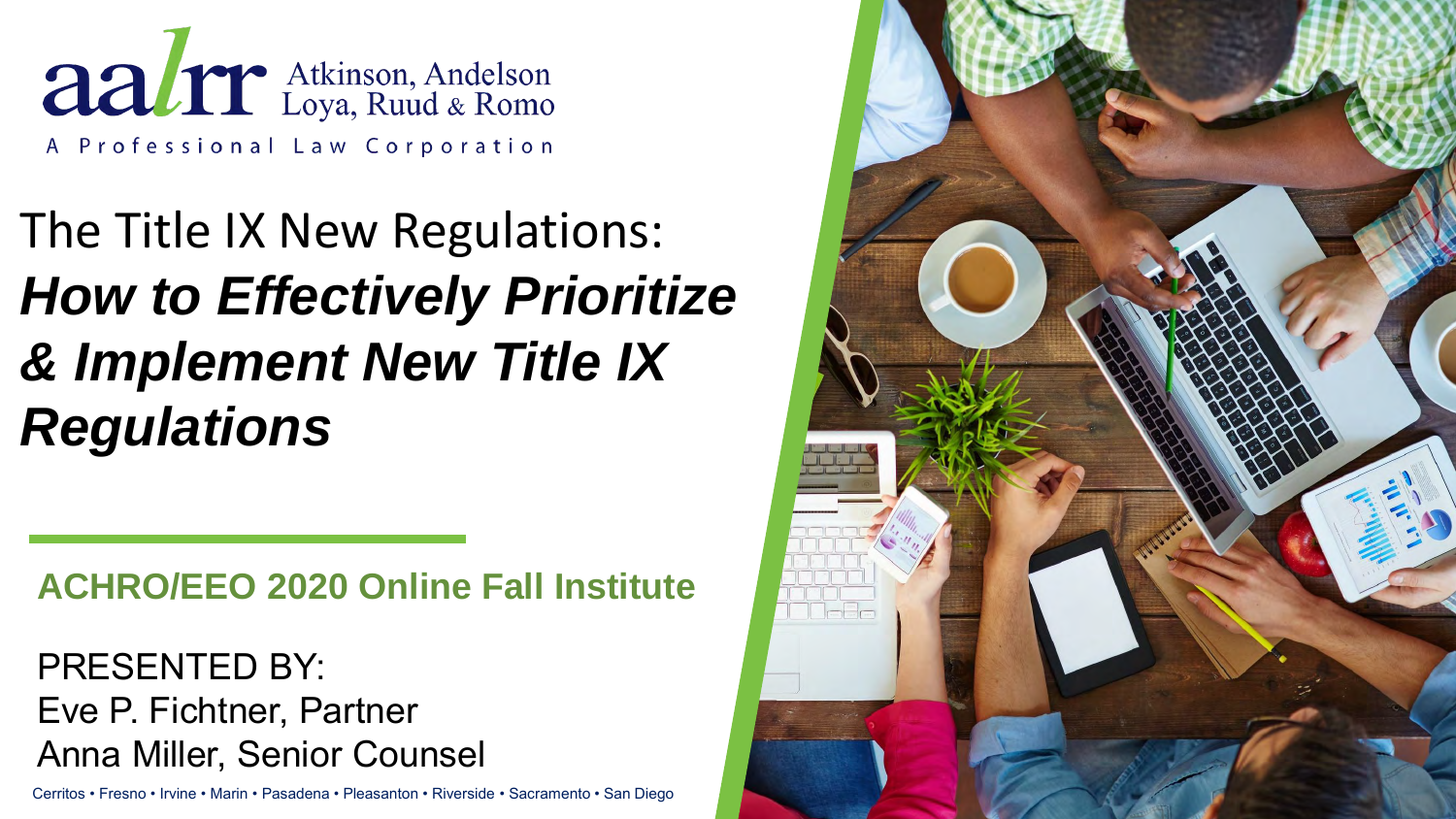Aalre Atkinson, Andelson A Professional Law Corporation

The Title IX New Regulations: *How to Effectively Prioritize & Implement New Title IX Regulations* 

**ACHRO/EEO 2020 Online Fall Institute**

PRESENTED BY: Eve P. Fichtner, Partner Anna Miller, Senior Counsel

Cerritos • Fresno • Irvine • Marin • Pasadena • Pleasanton • Riverside • Sacramento • San Diego

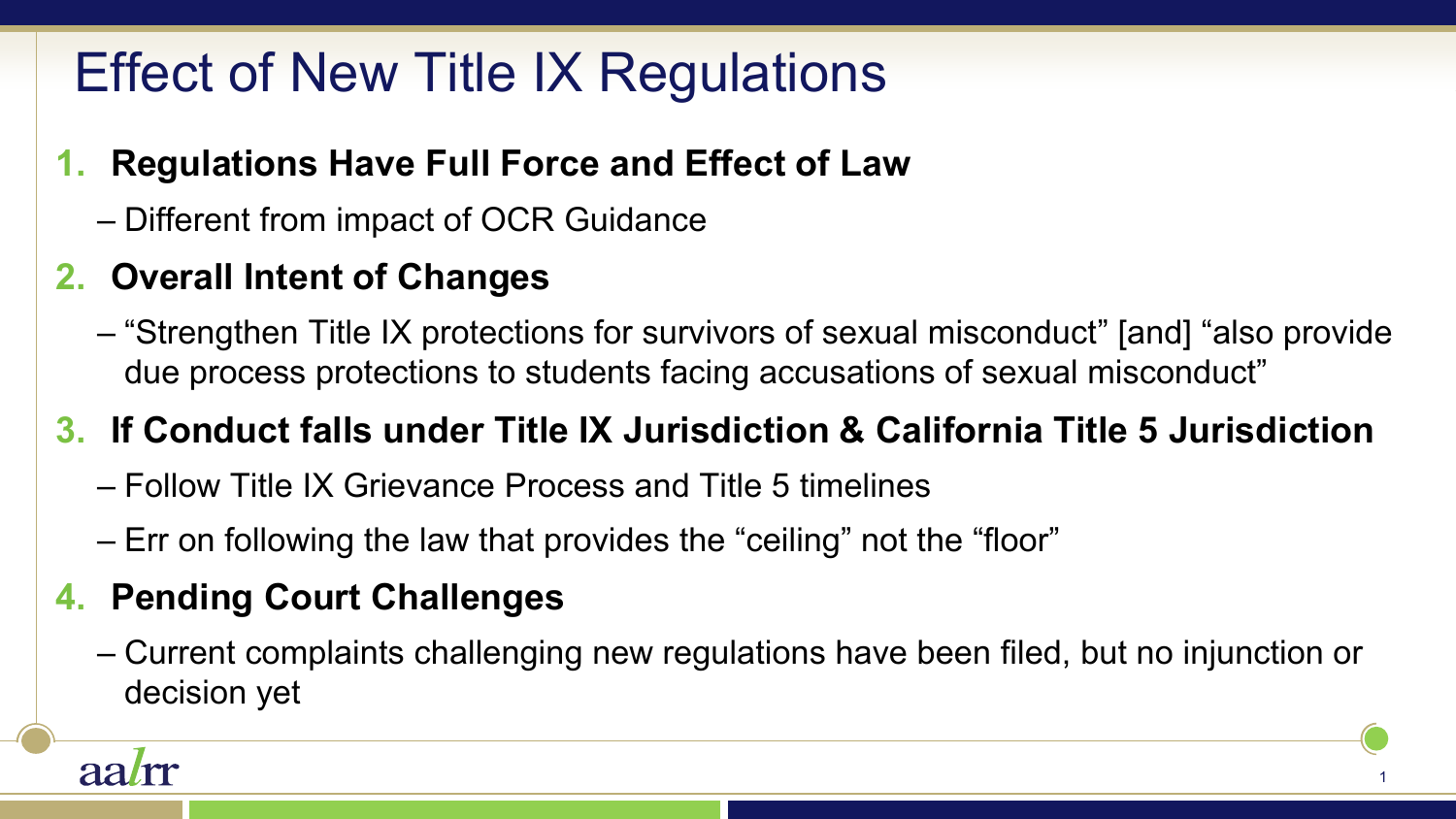# Effect of New Title IX Regulations

#### **1. Regulations Have Full Force and Effect of Law**

– Different from impact of OCR Guidance

#### **2. Overall Intent of Changes**

– "Strengthen Title IX protections for survivors of sexual misconduct" [and] "also provide due process protections to students facing accusations of sexual misconduct"

#### **3. If Conduct falls under Title IX Jurisdiction & California Title 5 Jurisdiction**

- Follow Title IX Grievance Process and Title 5 timelines
- Err on following the law that provides the "ceiling" not the "floor"

#### **4. Pending Court Challenges**

– Current complaints challenging new regulations have been filed, but no injunction or decision yet

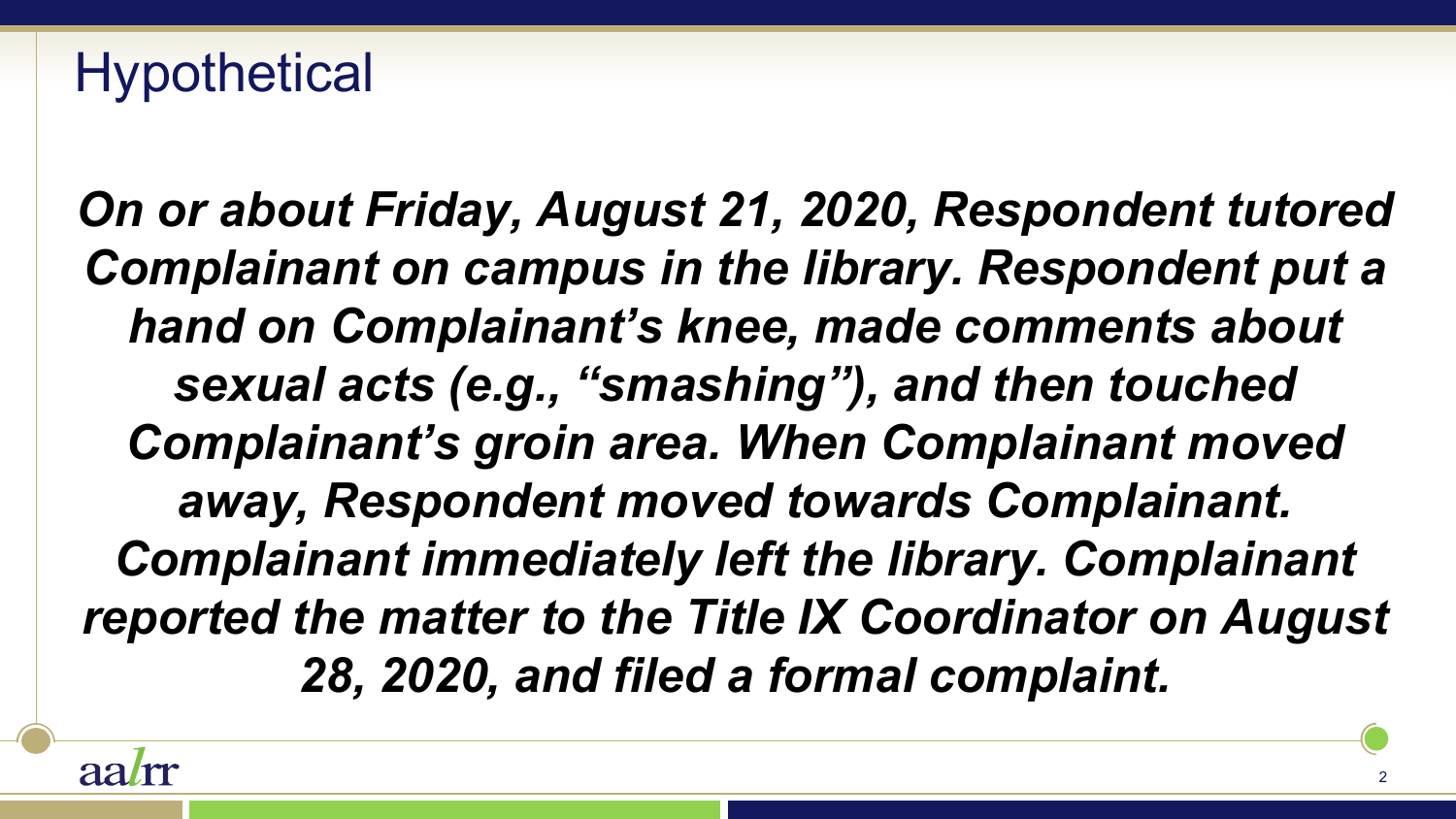# **Hypothetical**

*On or about Friday, August 21, 2020, Respondent tutored Complainant on campus in the library. Respondent put a hand on Complainant's knee, made comments about sexual acts (e.g., "smashing"), and then touched Complainant's groin area. When Complainant moved away, Respondent moved towards Complainant. Complainant immediately left the library. Complainant reported the matter to the Title IX Coordinator on August 28, 2020, and filed a formal complaint.* 

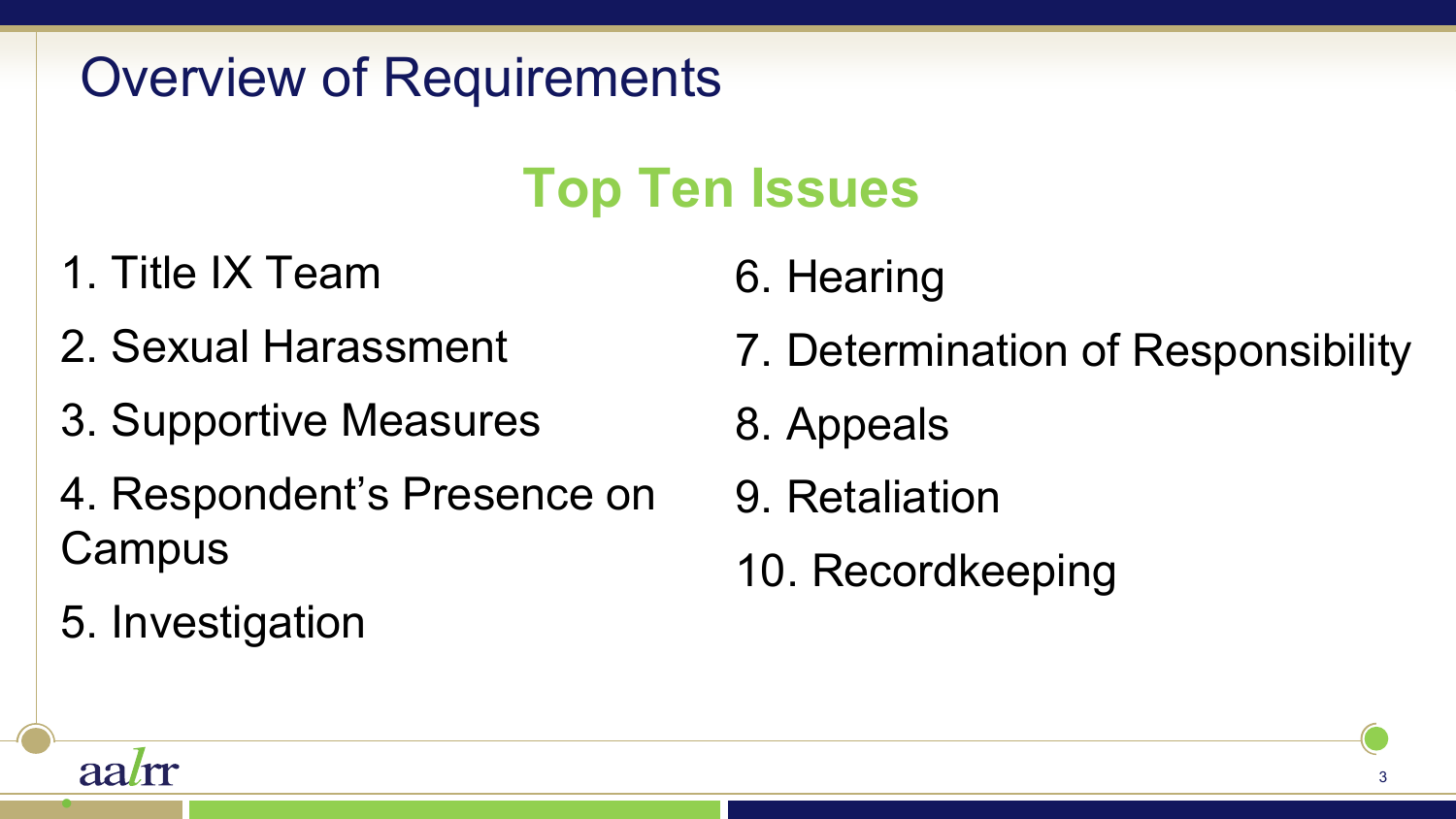# Overview of Requirements

# **Top Ten Issues**

- 1. Title IX Team
- 2. Sexual Harassment
- 3. Supportive Measures
- 4. Respondent's Presence on **Campus**

5. Investigation

•

aalm

- 6. Hearing
- 7. Determination of Responsibility
- 8. Appeals
- 9. Retaliation
- 10. Recordkeeping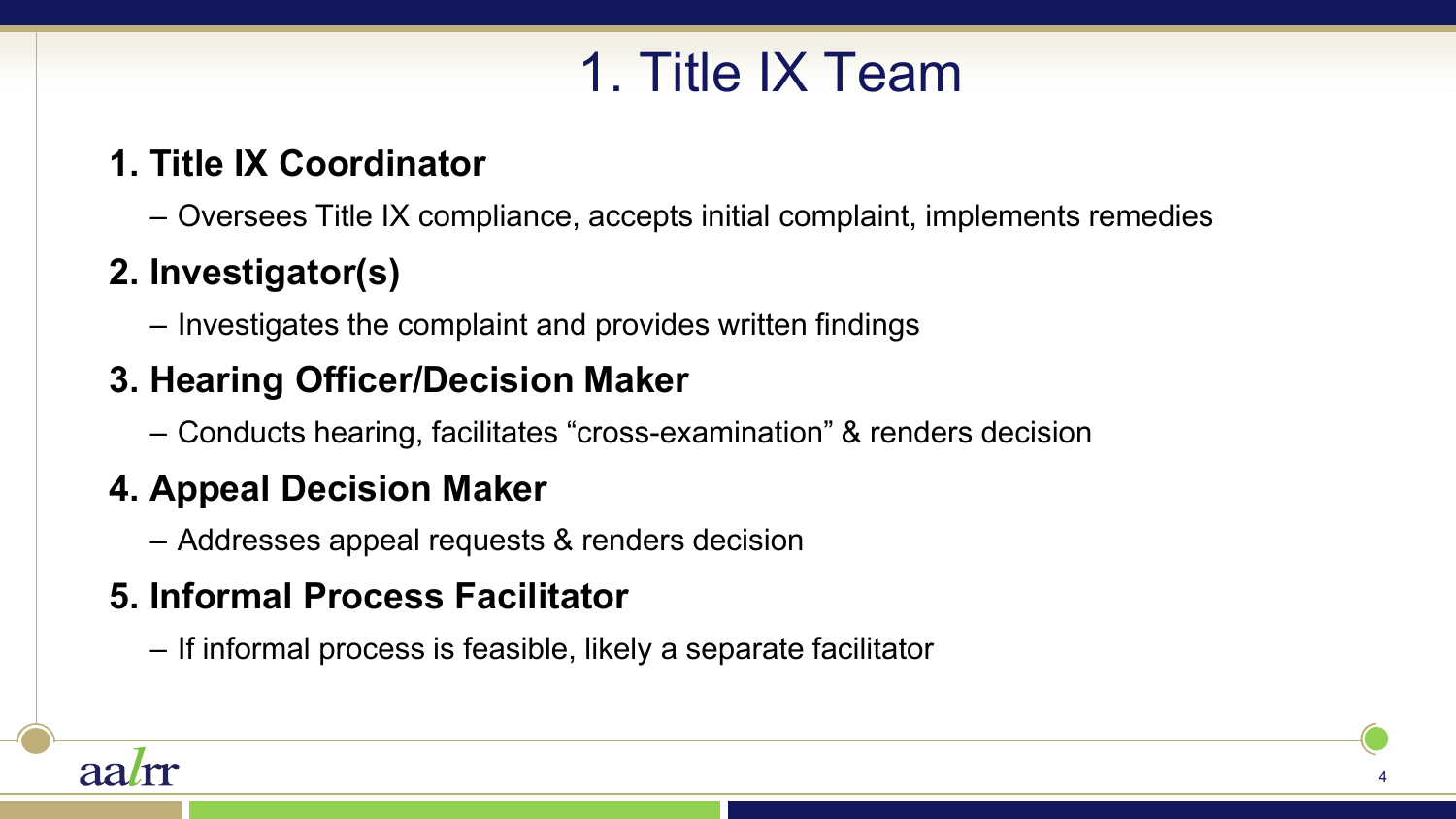# 1. Title IX Team

#### **1. Title IX Coordinator**

– Oversees Title IX compliance, accepts initial complaint, implements remedies

#### **2. Investigator(s)**

– Investigates the complaint and provides written findings

#### **3. Hearing Officer/Decision Maker**

– Conducts hearing, facilitates "cross-examination" & renders decision

#### **4. Appeal Decision Maker**

– Addresses appeal requests & renders decision

#### **5. Informal Process Facilitator**

– If informal process is feasible, likely a separate facilitator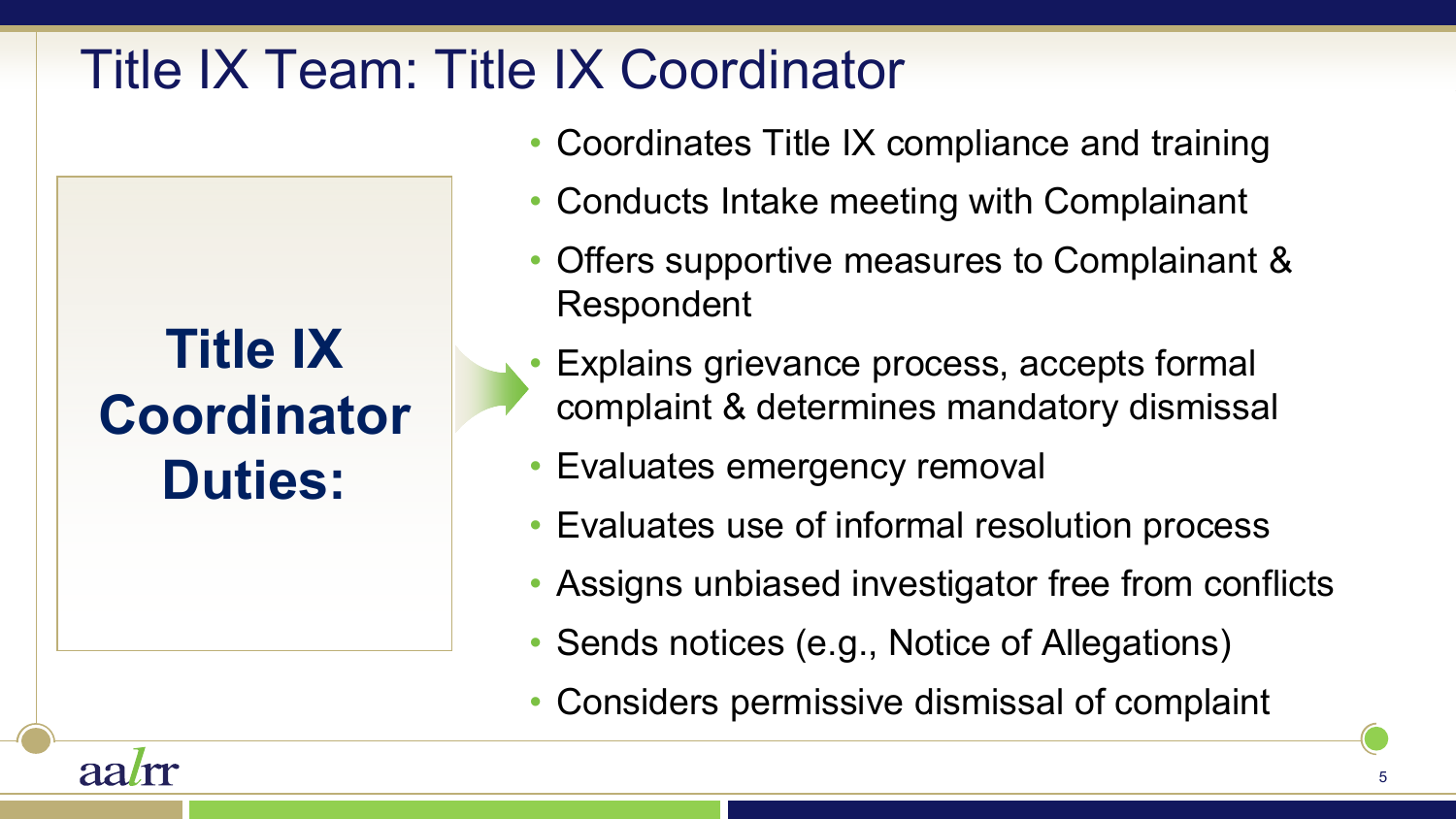### Title IX Team: Title IX Coordinator

**Title IX Coordinator Duties:** 

aa*l*m

- Coordinates Title IX compliance and training
- Conducts Intake meeting with Complainant
- Offers supportive measures to Complainant & Respondent
- Explains grievance process, accepts formal complaint & determines mandatory dismissal
- Evaluates emergency removal
- Evaluates use of informal resolution process
- Assigns unbiased investigator free from conflicts
- Sends notices (e.g., Notice of Allegations)
- Considers permissive dismissal of complaint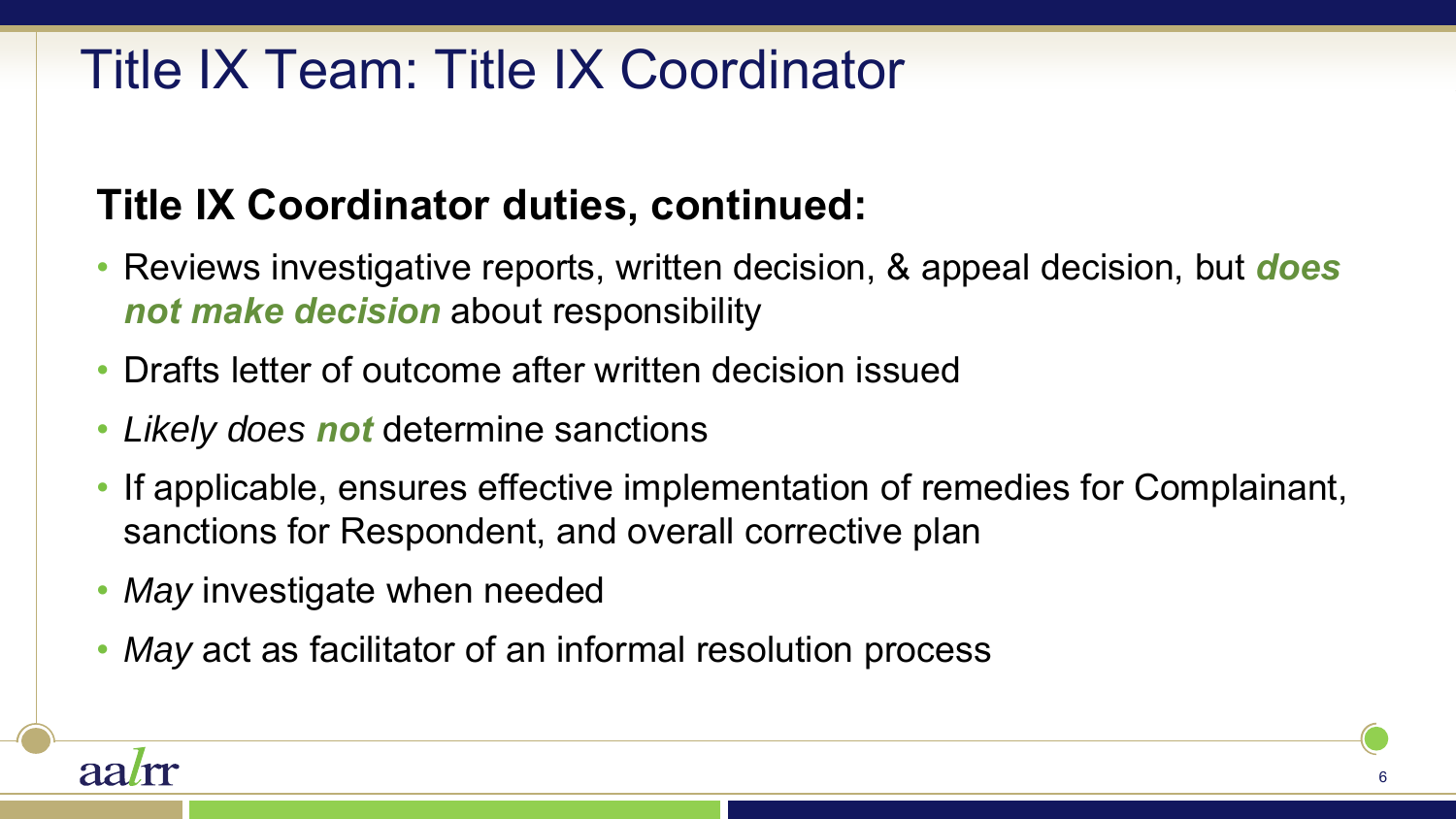### Title IX Team: Title IX Coordinator

### **Title IX Coordinator duties, continued:**

- Reviews investigative reports, written decision, & appeal decision, but *does not make decision* about responsibility
- Drafts letter of outcome after written decision issued
- *Likely does not* determine sanctions
- If applicable, ensures effective implementation of remedies for Complainant, sanctions for Respondent, and overall corrective plan
- *May* investigate when needed
- *May* act as facilitator of an informal resolution process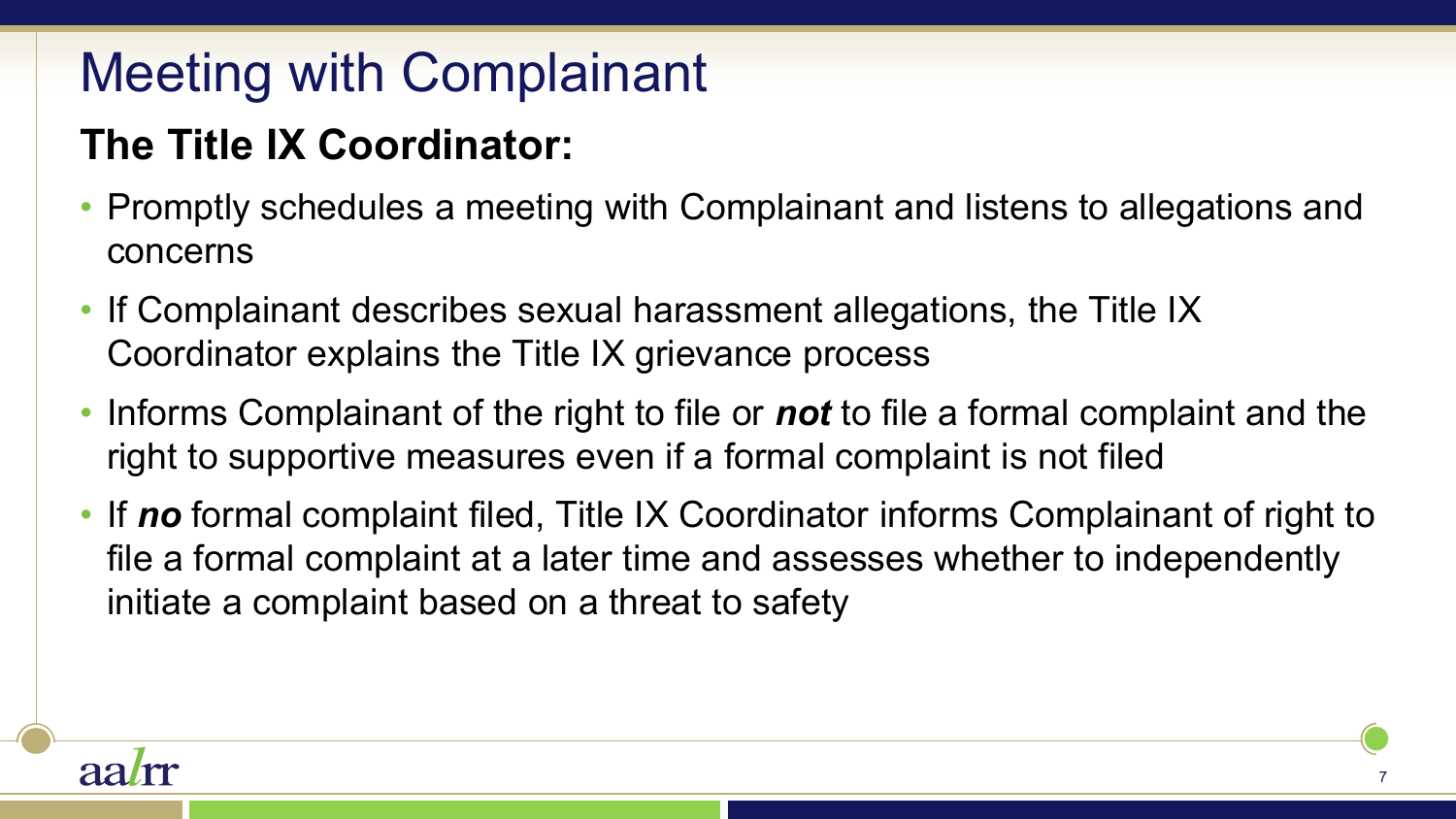# Meeting with Complainant

### **The Title IX Coordinator:**

- Promptly schedules a meeting with Complainant and listens to allegations and concerns
- If Complainant describes sexual harassment allegations, the Title IX Coordinator explains the Title IX grievance process
- Informs Complainant of the right to file or *not* to file a formal complaint and the right to supportive measures even if a formal complaint is not filed
- If *no* formal complaint filed, Title IX Coordinator informs Complainant of right to file a formal complaint at a later time and assesses whether to independently initiate a complaint based on a threat to safety

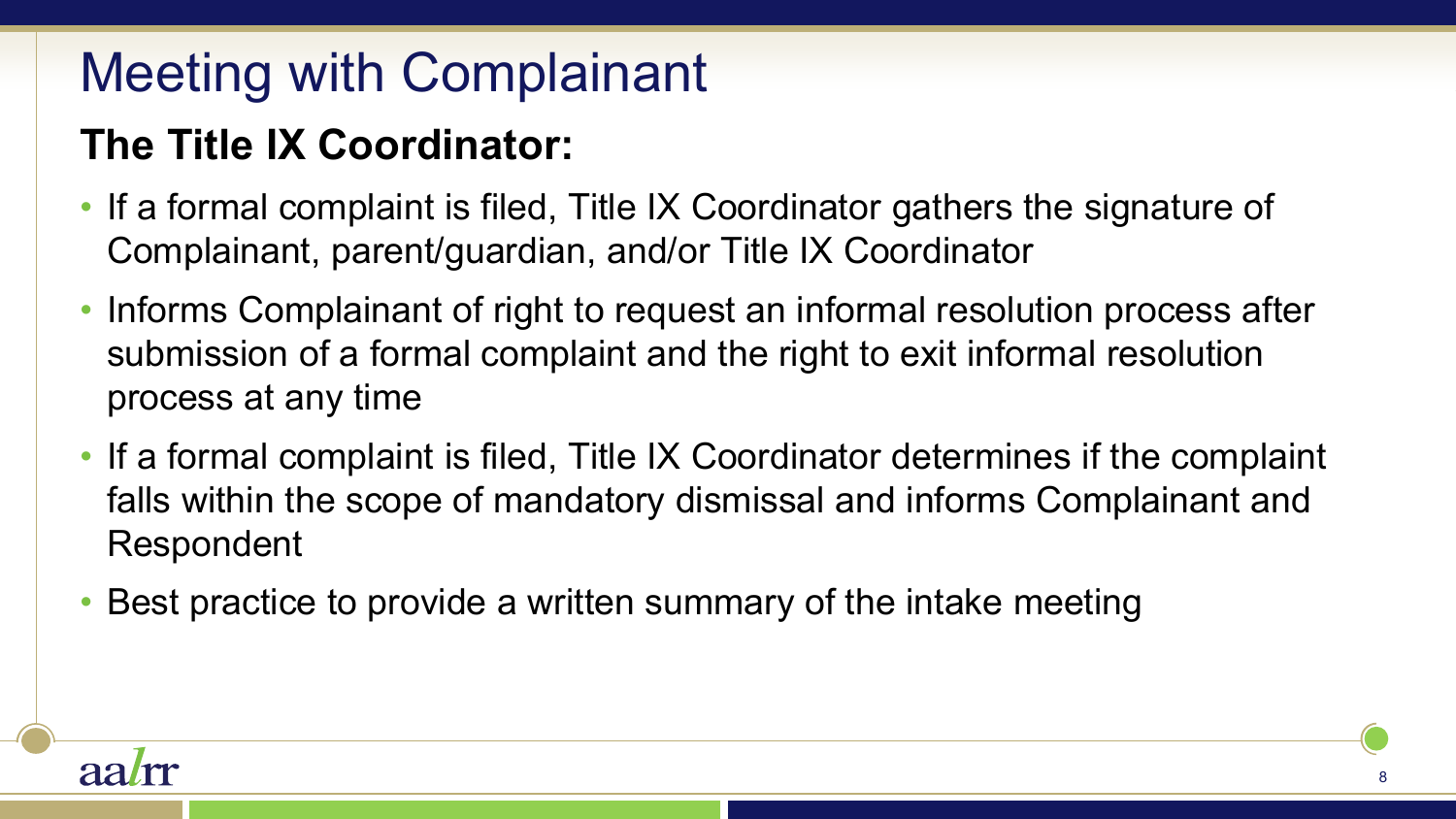# Meeting with Complainant

### **The Title IX Coordinator:**

- If a formal complaint is filed, Title IX Coordinator gathers the signature of Complainant, parent/guardian, and/or Title IX Coordinator
- Informs Complainant of right to request an informal resolution process after submission of a formal complaint and the right to exit informal resolution process at any time
- If a formal complaint is filed, Title IX Coordinator determines if the complaint falls within the scope of mandatory dismissal and informs Complainant and Respondent
- Best practice to provide a written summary of the intake meeting

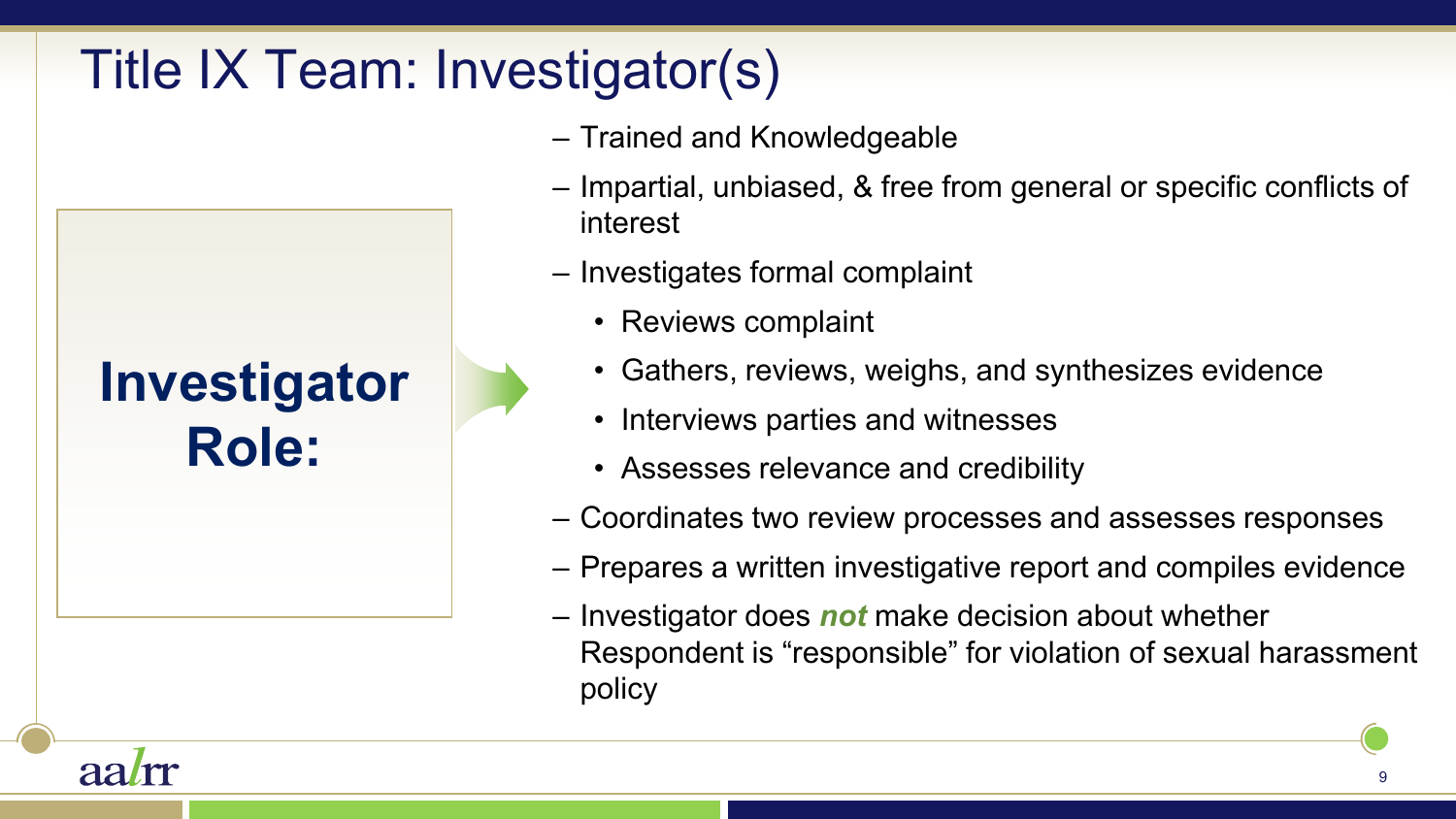# Title IX Team: Investigator(s)

- Trained and Knowledgeable
- Impartial, unbiased, & free from general or specific conflicts of interest
- Investigates formal complaint
	- Reviews complaint
	- Gathers, reviews, weighs, and synthesizes evidence
	- Interviews parties and witnesses
	- Assesses relevance and credibility
- Coordinates two review processes and assesses responses
- Prepares a written investigative report and compiles evidence
- Investigator does *not* make decision about whether Respondent is "responsible" for violation of sexual harassment policy



**Investigator** 

**Role:**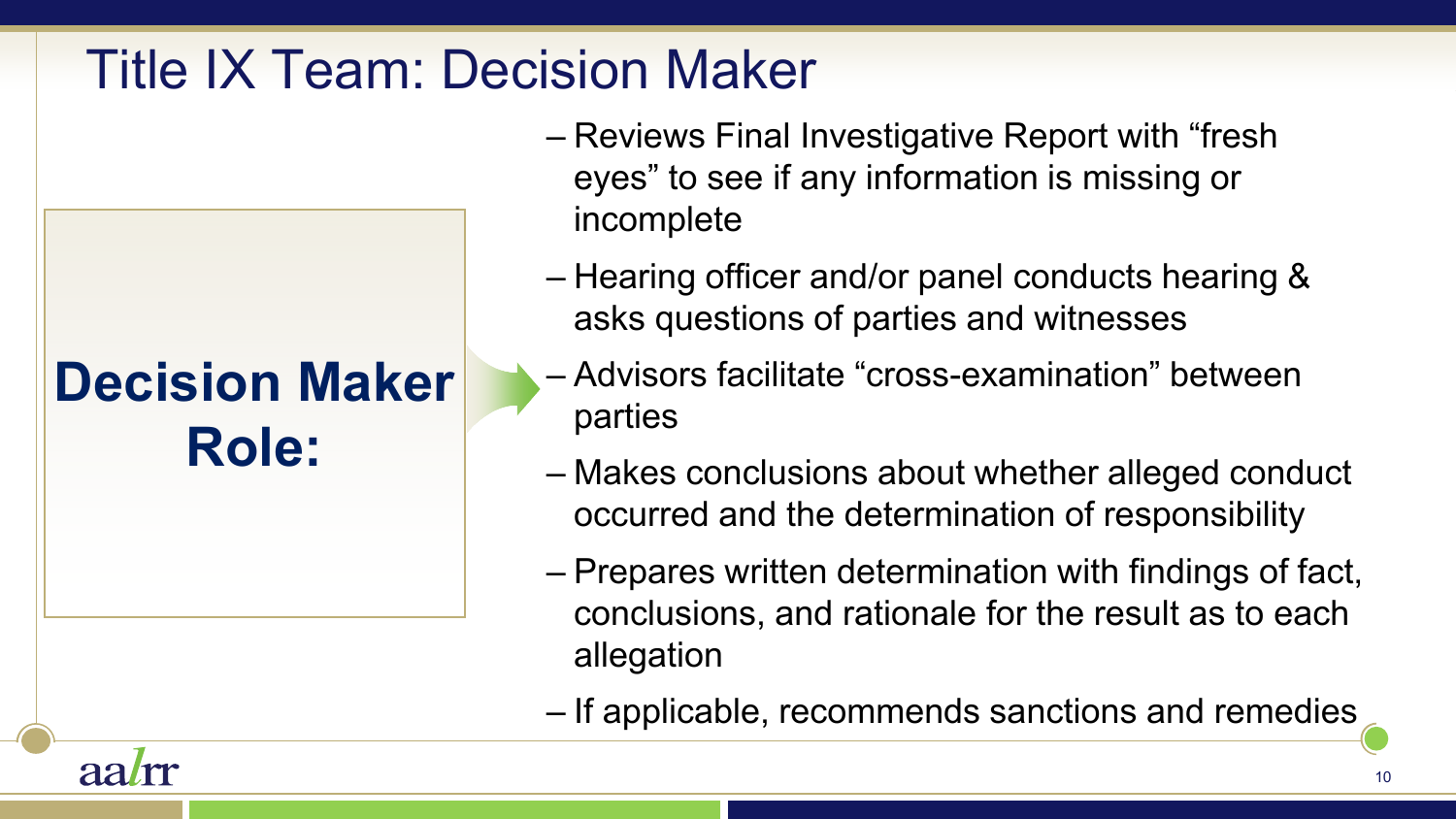### Title IX Team: Decision Maker

**Decision Maker** 

**Role:**

aalm

- Reviews Final Investigative Report with "fresh eyes" to see if any information is missing or incomplete
- Hearing officer and/or panel conducts hearing & asks questions of parties and witnesses
- Advisors facilitate "cross-examination" between parties
- Makes conclusions about whether alleged conduct occurred and the determination of responsibility
- Prepares written determination with findings of fact, conclusions, and rationale for the result as to each allegation
- If applicable, recommends sanctions and remedies

10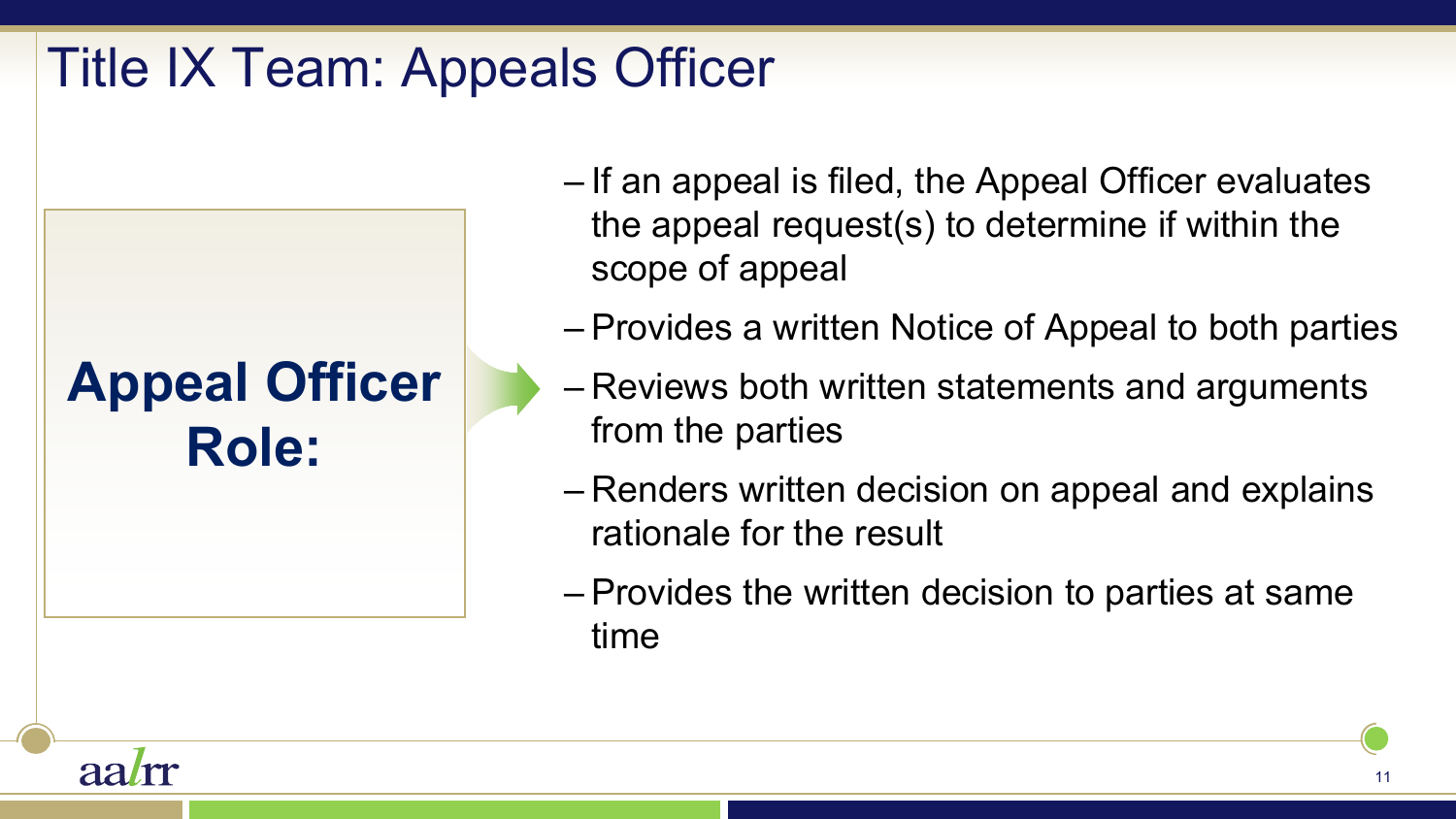### Title IX Team: Appeals Officer

# **Appeal Officer Role:**

- If an appeal is filed, the Appeal Officer evaluates the appeal request(s) to determine if within the scope of appeal
- Provides a written Notice of Appeal to both parties
- Reviews both written statements and arguments from the parties
- Renders written decision on appeal and explains rationale for the result
- Provides the written decision to parties at same time

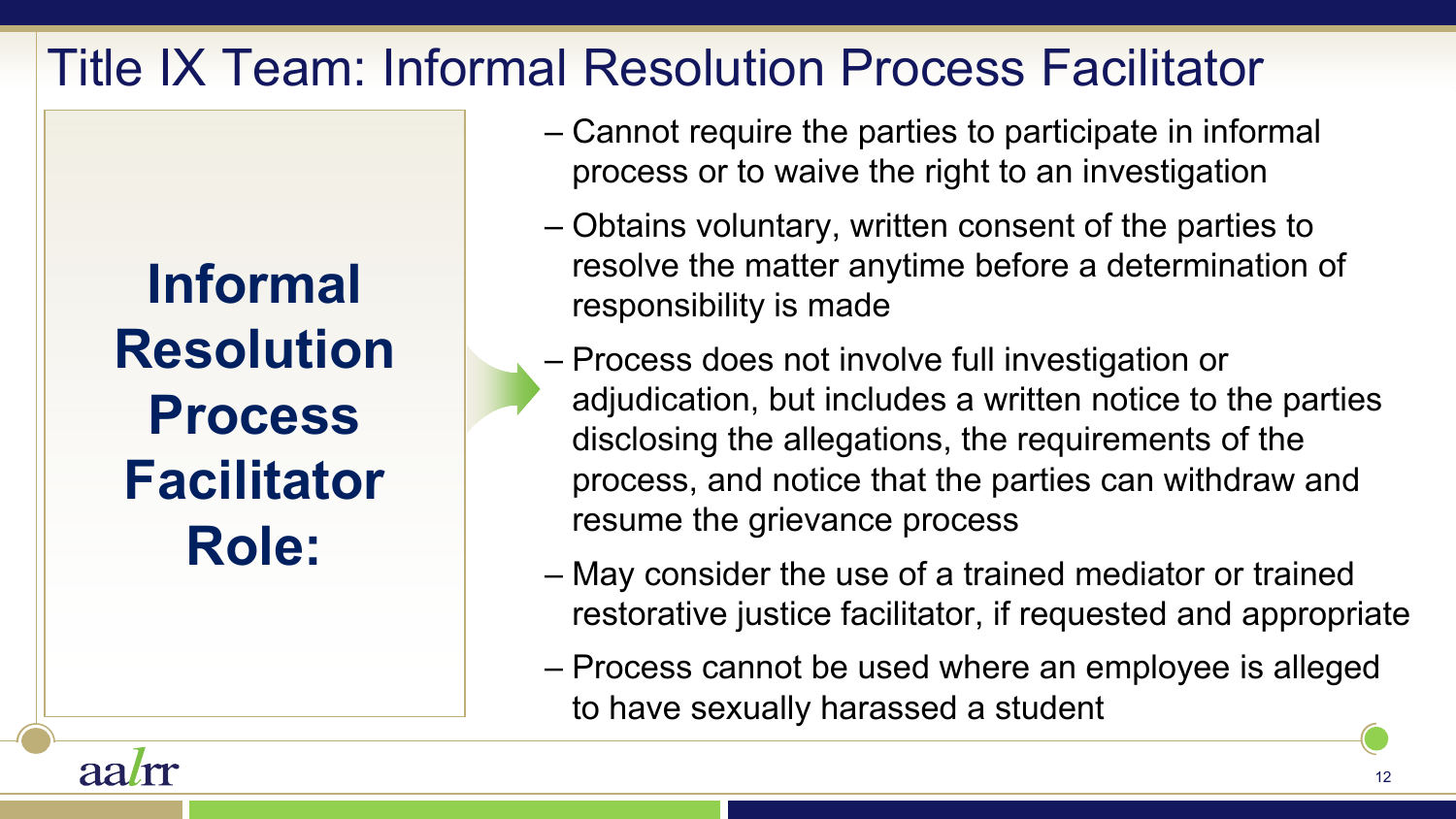### Title IX Team: Informal Resolution Process Facilitator

**Informal Resolution Process Facilitator Role:** 

aa*l*m

- Cannot require the parties to participate in informal process or to waive the right to an investigation
- Obtains voluntary, written consent of the parties to resolve the matter anytime before a determination of responsibility is made
- Process does not involve full investigation or adjudication, but includes a written notice to the parties disclosing the allegations, the requirements of the process, and notice that the parties can withdraw and resume the grievance process
- May consider the use of a trained mediator or trained restorative justice facilitator, if requested and appropriate
- Process cannot be used where an employee is alleged to have sexually harassed a student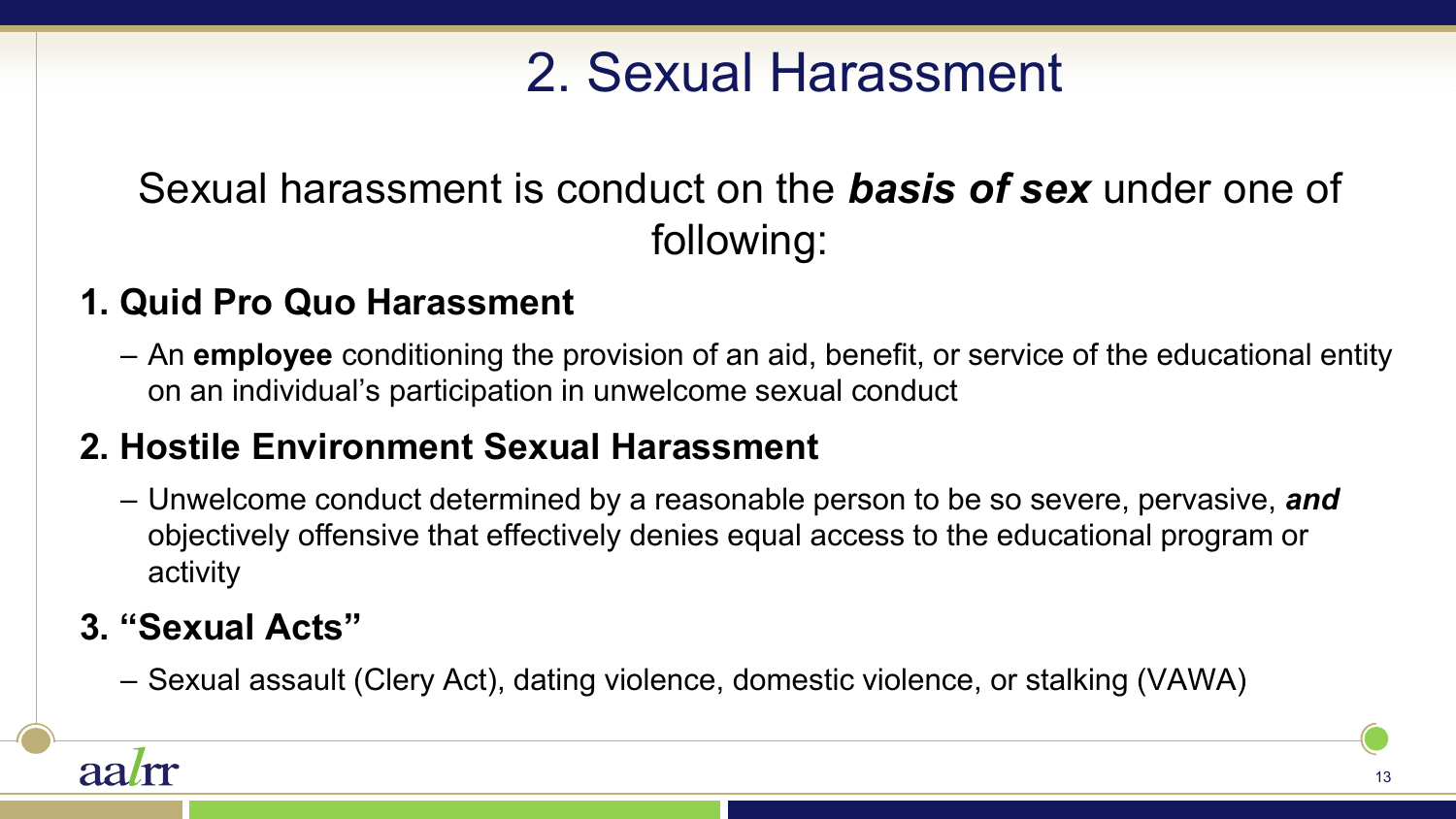# 2. Sexual Harassment

### Sexual harassment is conduct on the *basis of sex* under one of following:

#### **1. Quid Pro Quo Harassment**

– An **employee** conditioning the provision of an aid, benefit, or service of the educational entity on an individual's participation in unwelcome sexual conduct

#### **2. Hostile Environment Sexual Harassment**

– Unwelcome conduct determined by a reasonable person to be so severe, pervasive, *and* objectively offensive that effectively denies equal access to the educational program or activity

#### **3. "Sexual Acts"**

– Sexual assault (Clery Act), dating violence, domestic violence, or stalking (VAWA)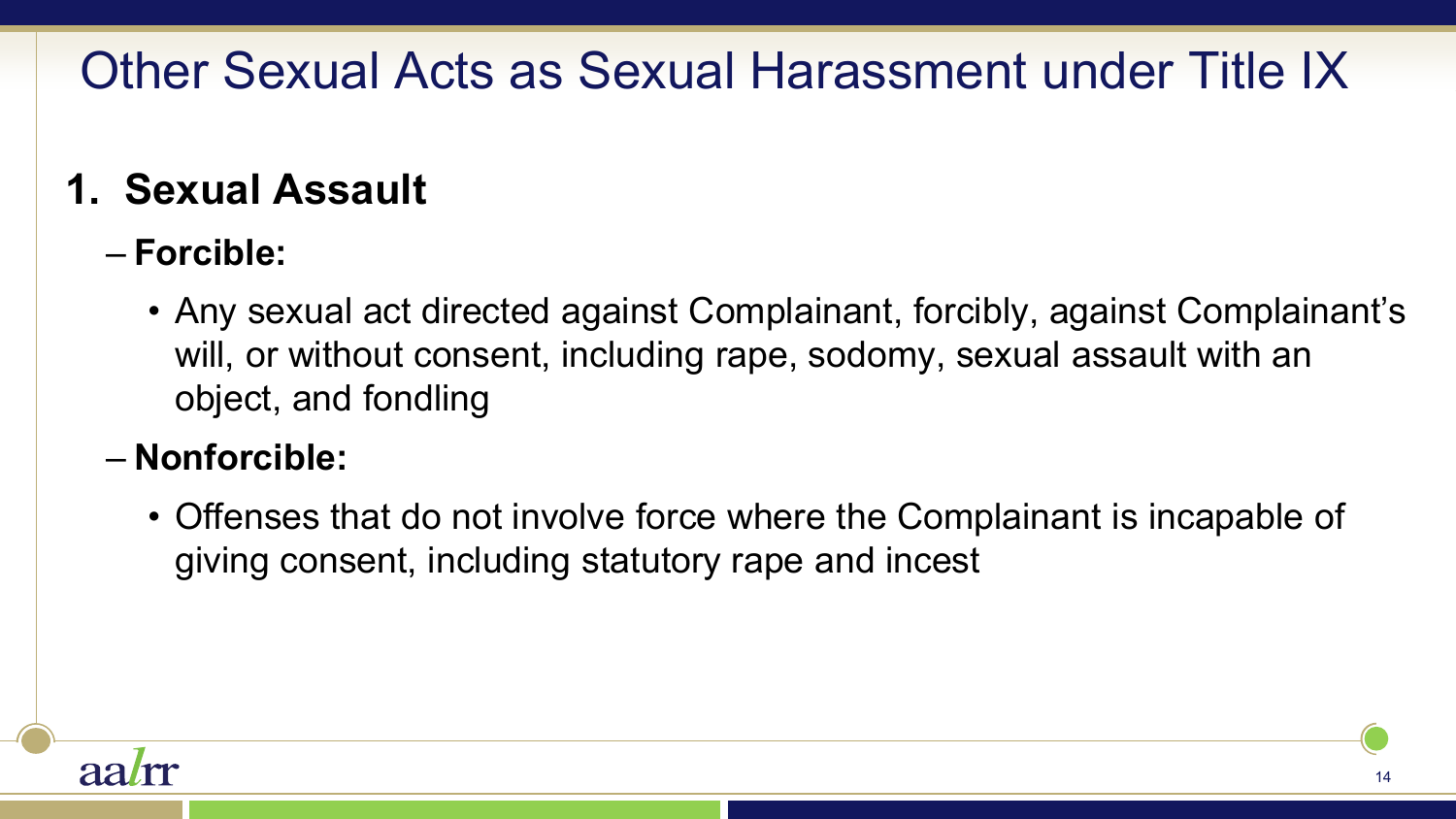### Other Sexual Acts as Sexual Harassment under Title IX

### **1. Sexual Assault**

#### – **Forcible:**

• Any sexual act directed against Complainant, forcibly, against Complainant's will, or without consent, including rape, sodomy, sexual assault with an object, and fondling

#### – **Nonforcible:**

• Offenses that do not involve force where the Complainant is incapable of giving consent, including statutory rape and incest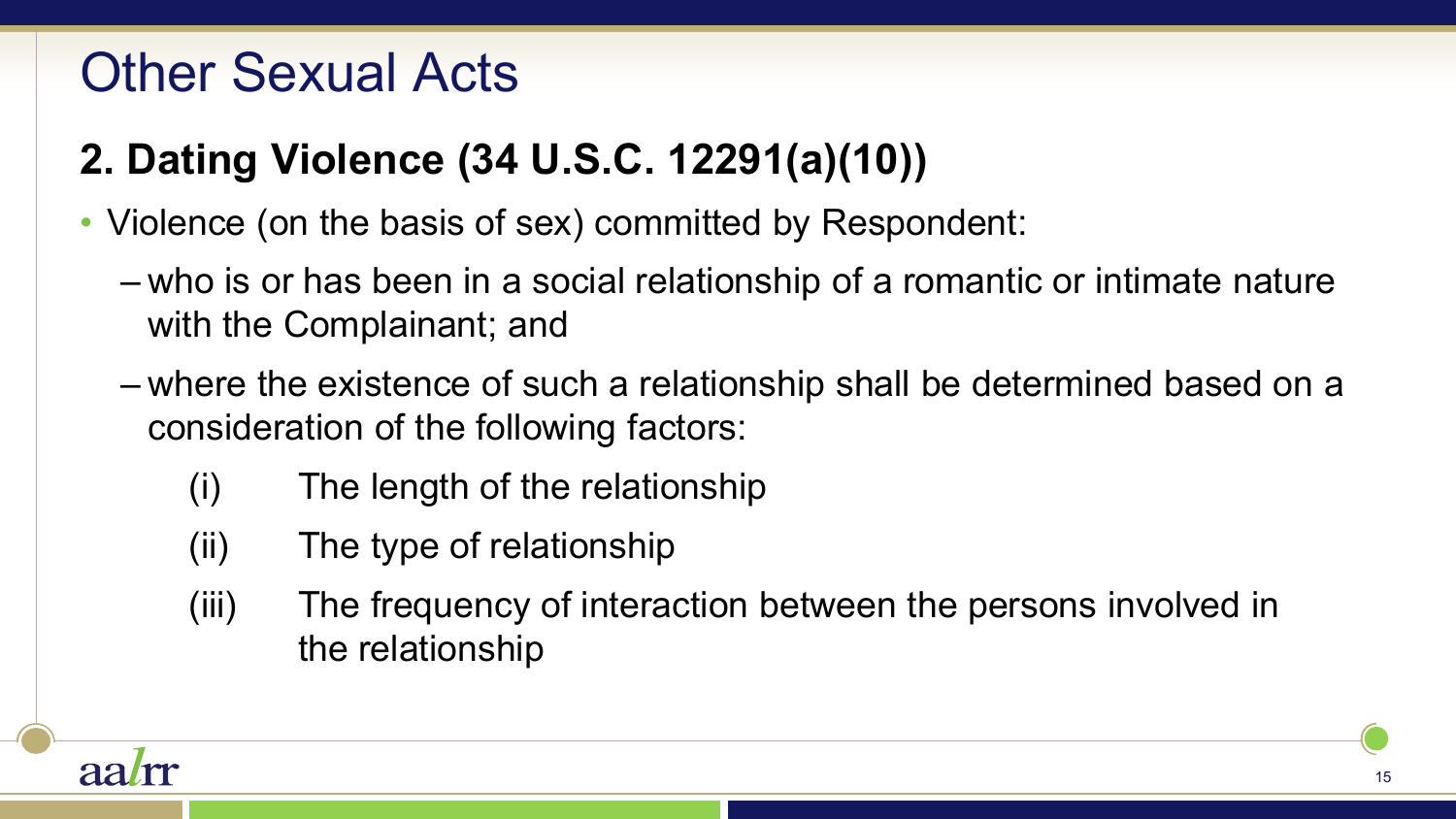### Other Sexual Acts

### **2. Dating Violence (34 U.S.C. 12291(a)(10))**

- Violence (on the basis of sex) committed by Respondent:
	- who is or has been in a social relationship of a romantic or intimate nature with the Complainant; and
	- where the existence of such a relationship shall be determined based on a consideration of the following factors:
		- (i) The length of the relationship
		- (ii) The type of relationship
		- (iii) The frequency of interaction between the persons involved in the relationship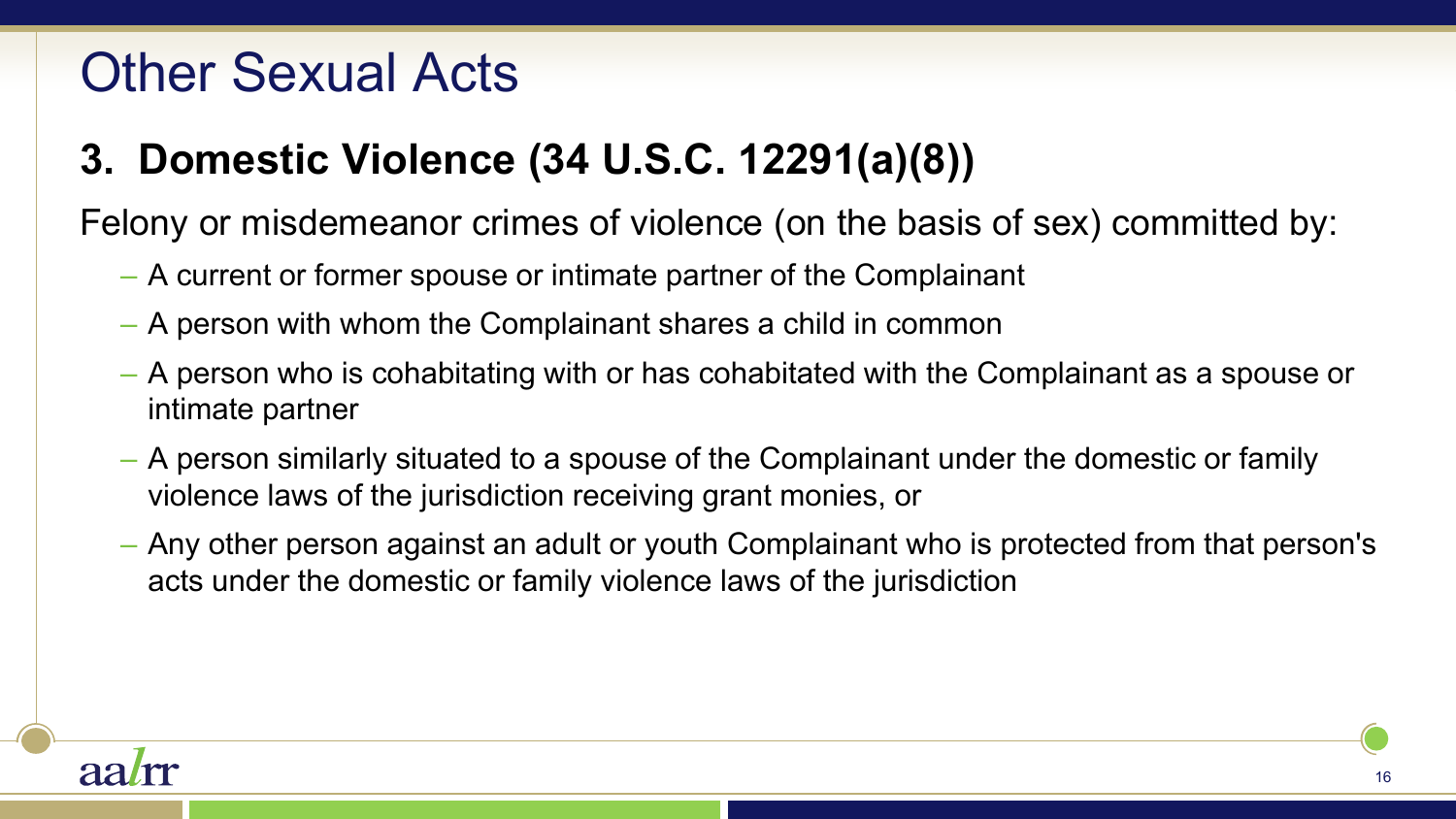### Other Sexual Acts

### **3. Domestic Violence (34 U.S.C. 12291(a)(8))**

Felony or misdemeanor crimes of violence (on the basis of sex) committed by:

- A current or former spouse or intimate partner of the Complainant
- A person with whom the Complainant shares a child in common
- A person who is cohabitating with or has cohabitated with the Complainant as a spouse or intimate partner
- A person similarly situated to a spouse of the Complainant under the domestic or family violence laws of the jurisdiction receiving grant monies, or
- Any other person against an adult or youth Complainant who is protected from that person's acts under the domestic or family violence laws of the jurisdiction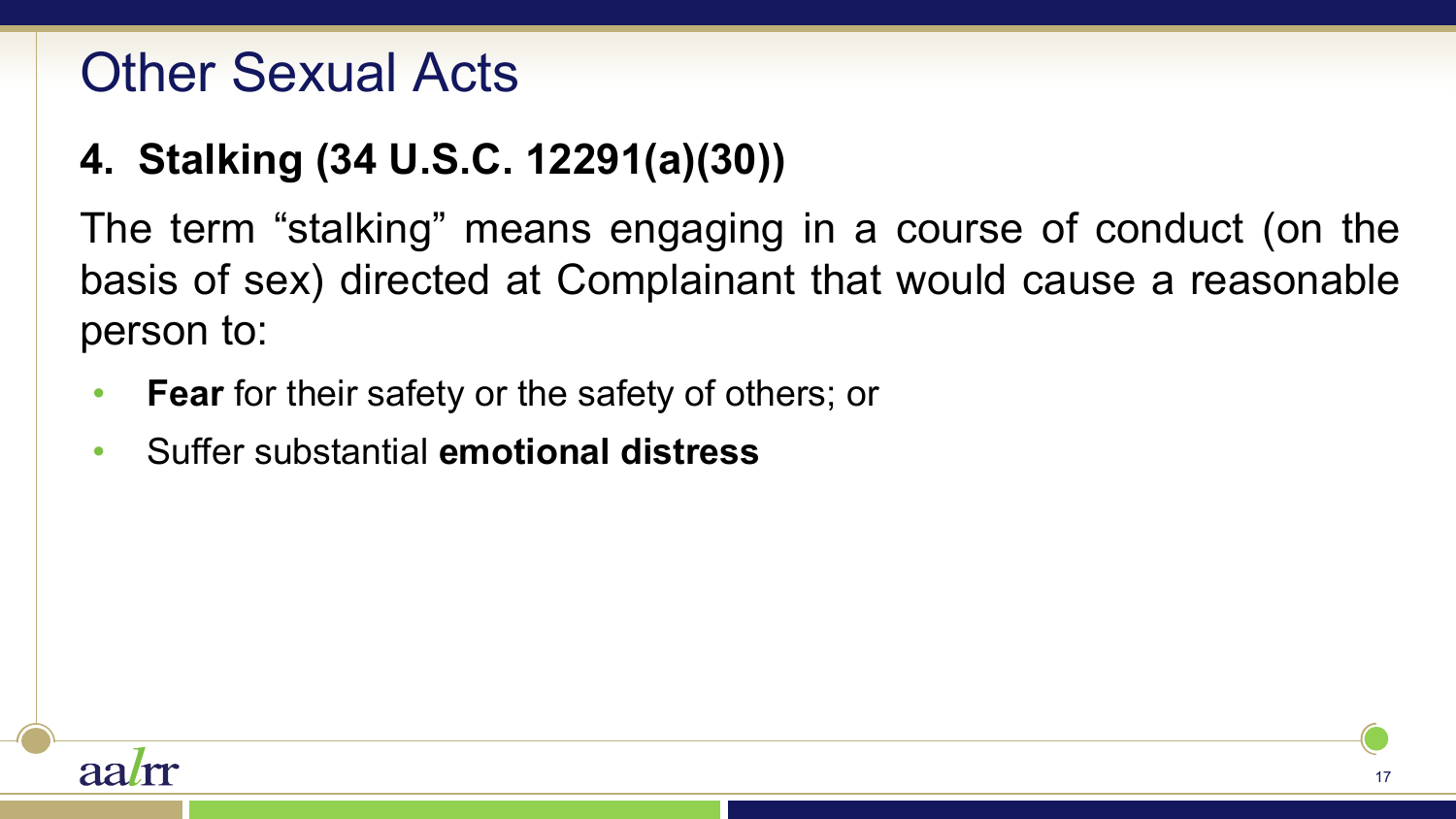### Other Sexual Acts

### **4. Stalking (34 U.S.C. 12291(a)(30))**

The term "stalking" means engaging in a course of conduct (on the basis of sex) directed at Complainant that would cause a reasonable person to:

- **Fear** for their safety or the safety of others; or
- Suffer substantial **emotional distress**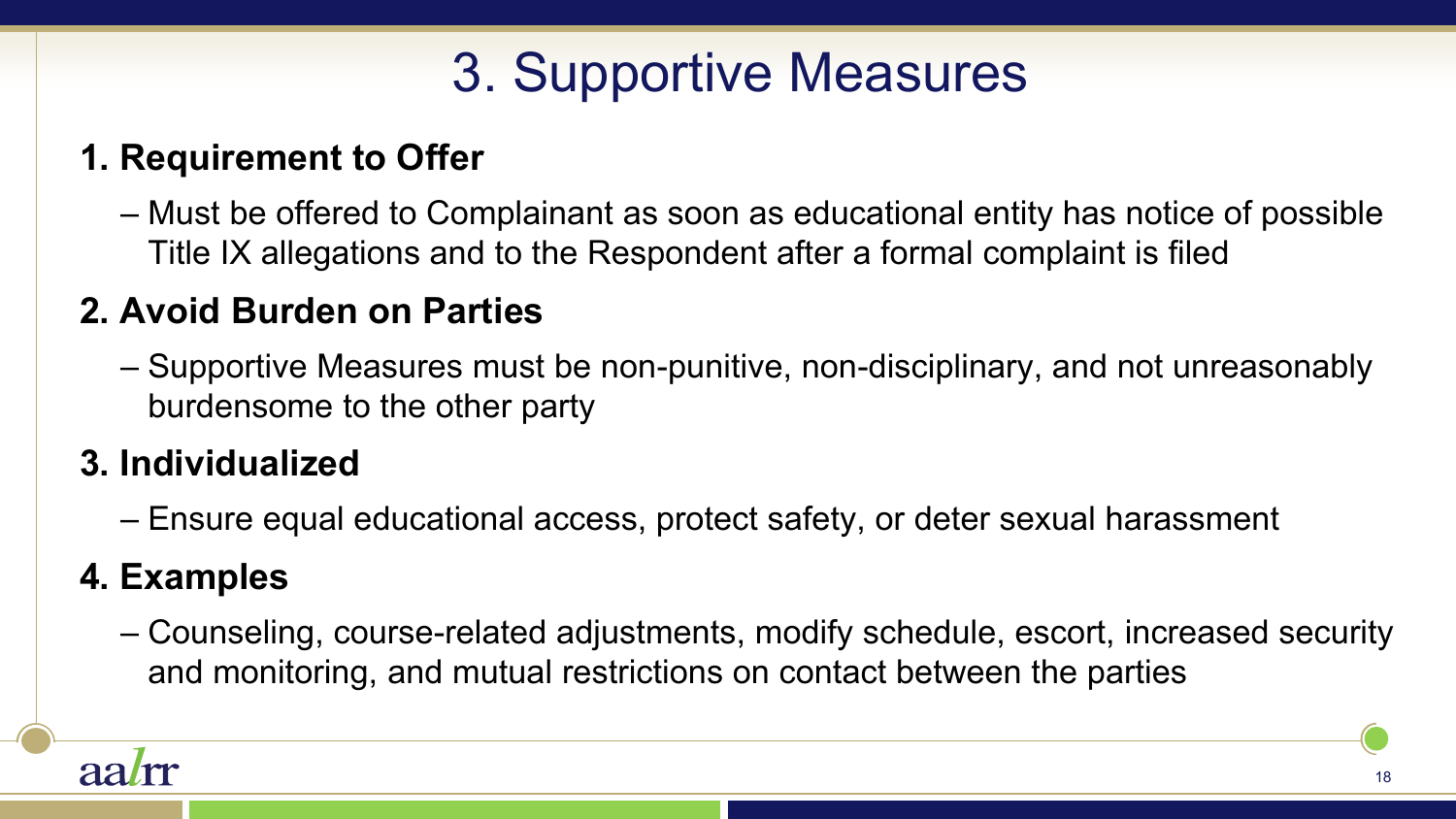# 3. Supportive Measures

#### **1. Requirement to Offer**

– Must be offered to Complainant as soon as educational entity has notice of possible Title IX allegations and to the Respondent after a formal complaint is filed

#### **2. Avoid Burden on Parties**

– Supportive Measures must be non-punitive, non-disciplinary, and not unreasonably burdensome to the other party

#### **3. Individualized**

– Ensure equal educational access, protect safety, or deter sexual harassment

#### **4. Examples**

– Counseling, course-related adjustments, modify schedule, escort, increased security and monitoring, and mutual restrictions on contact between the parties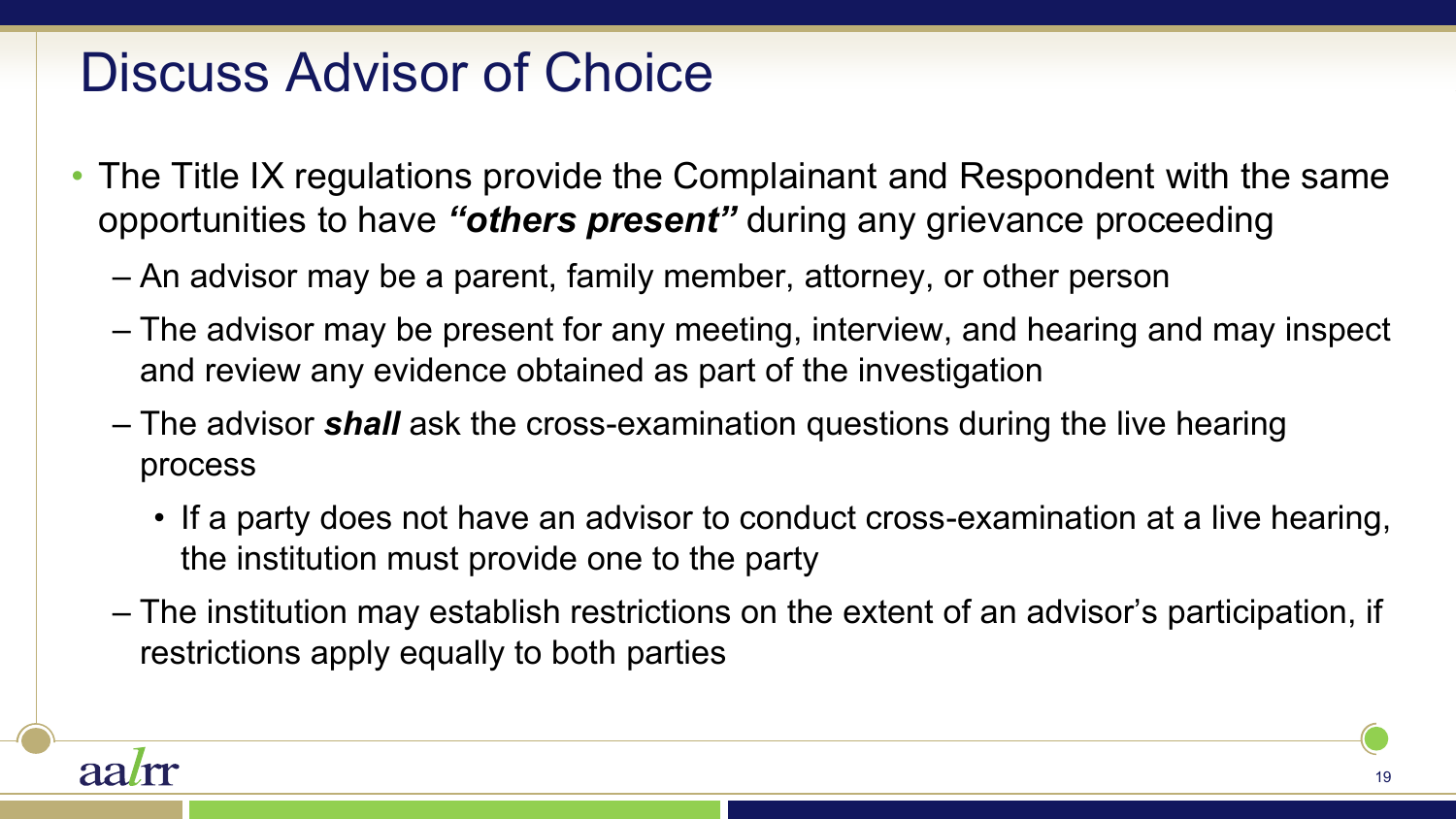### Discuss Advisor of Choice

- The Title IX regulations provide the Complainant and Respondent with the same opportunities to have *"others present"* during any grievance proceeding
	- An advisor may be a parent, family member, attorney, or other person
	- The advisor may be present for any meeting, interview, and hearing and may inspect and review any evidence obtained as part of the investigation
	- The advisor *shall* ask the cross-examination questions during the live hearing process
		- If a party does not have an advisor to conduct cross-examination at a live hearing, the institution must provide one to the party
	- The institution may establish restrictions on the extent of an advisor's participation, if restrictions apply equally to both parties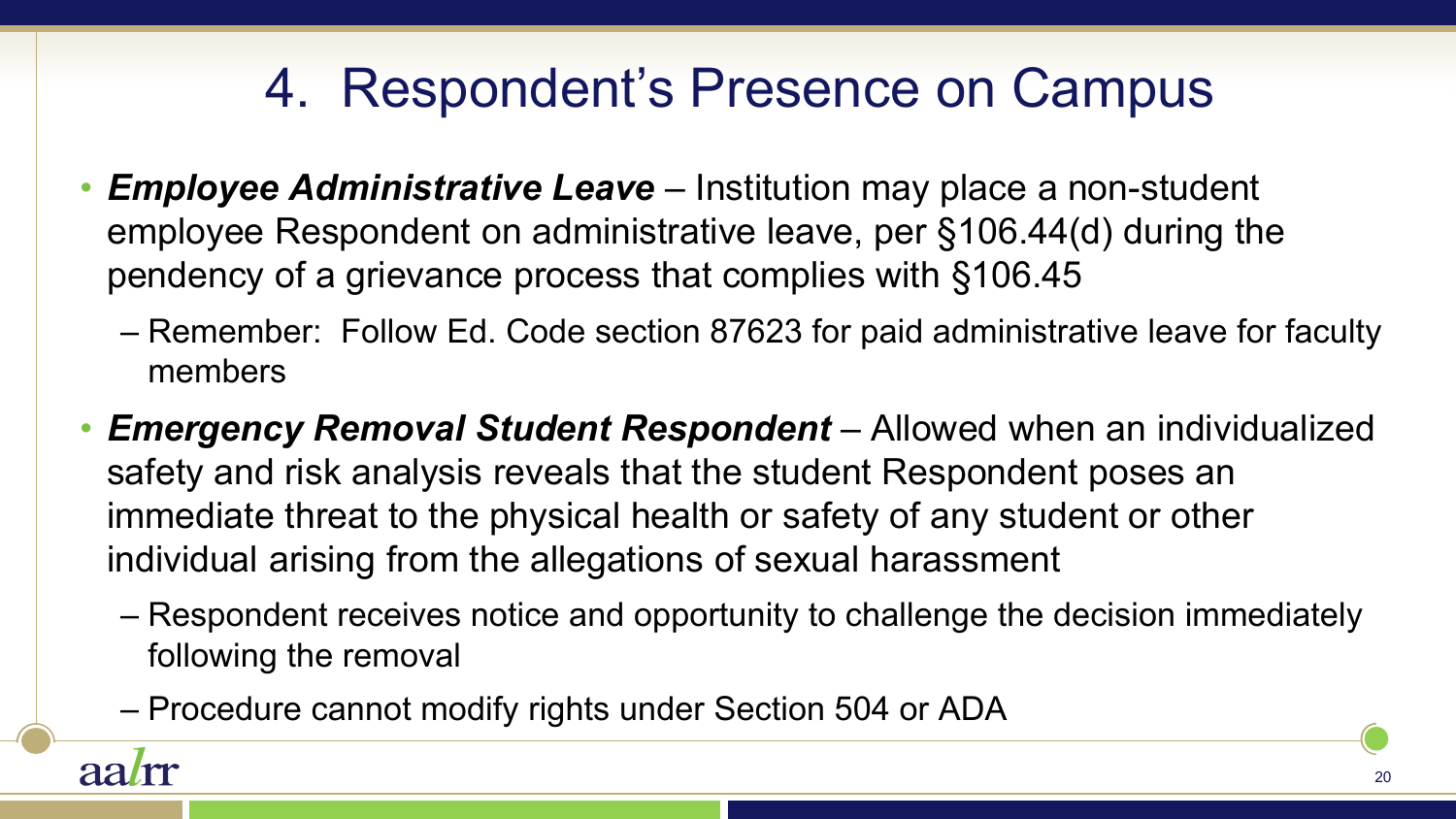### 4. Respondent's Presence on Campus

- *Employee Administrative Leave*  Institution may place a non-student employee Respondent on administrative leave, per §106.44(d) during the pendency of a grievance process that complies with §106.45
	- Remember: Follow Ed. Code section 87623 for paid administrative leave for faculty members
- *Emergency Removal Student Respondent*  Allowed when an individualized safety and risk analysis reveals that the student Respondent poses an immediate threat to the physical health or safety of any student or other individual arising from the allegations of sexual harassment
	- Respondent receives notice and opportunity to challenge the decision immediately following the removal
	- Procedure cannot modify rights under Section 504 or ADA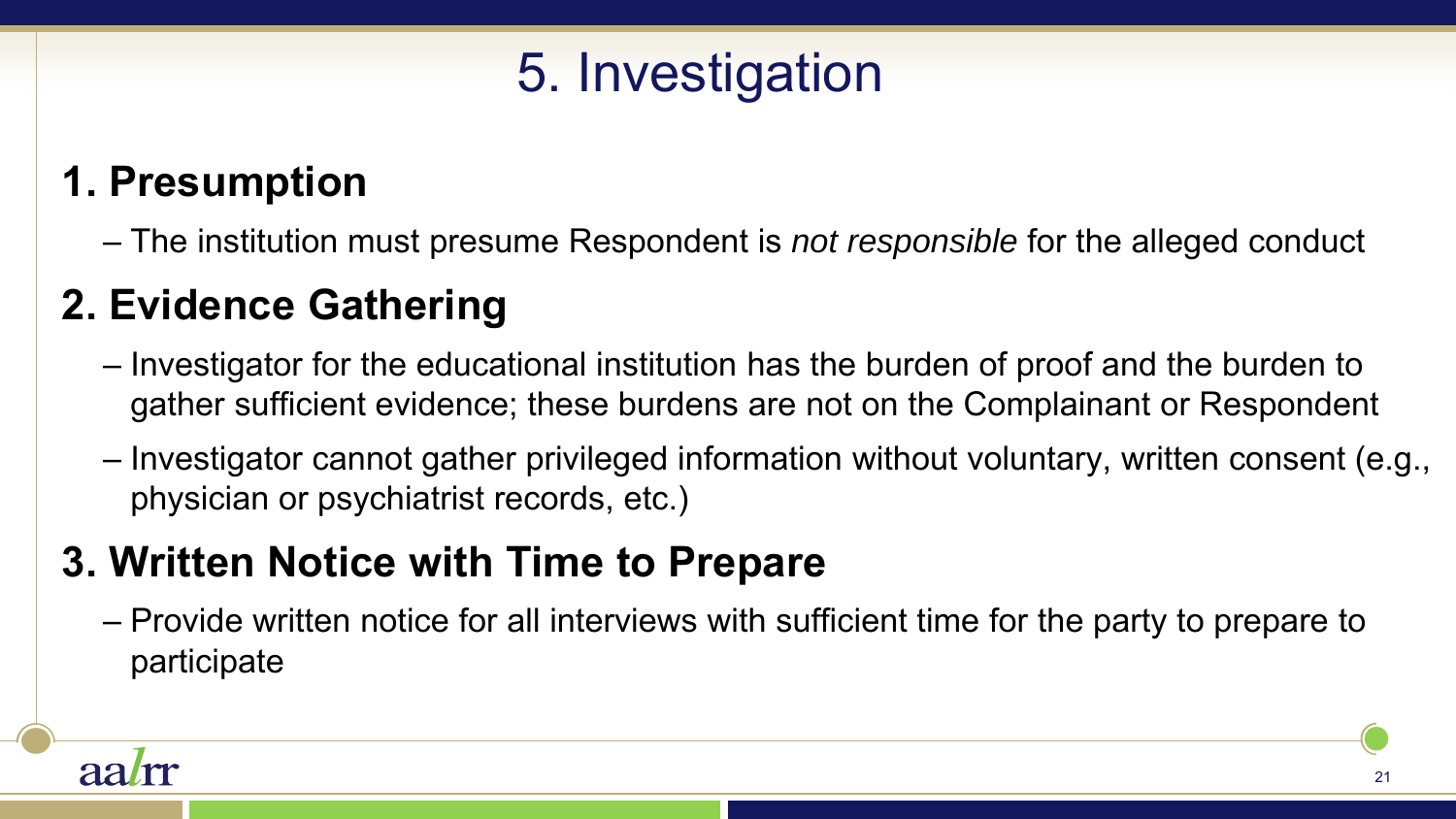# 5. Investigation

### **1. Presumption**

– The institution must presume Respondent is *not responsible* for the alleged conduct

### **2. Evidence Gathering**

- Investigator for the educational institution has the burden of proof and the burden to gather sufficient evidence; these burdens are not on the Complainant or Respondent
- Investigator cannot gather privileged information without voluntary, written consent (e.g., physician or psychiatrist records, etc.)

### **3. Written Notice with Time to Prepare**

– Provide written notice for all interviews with sufficient time for the party to prepare to participate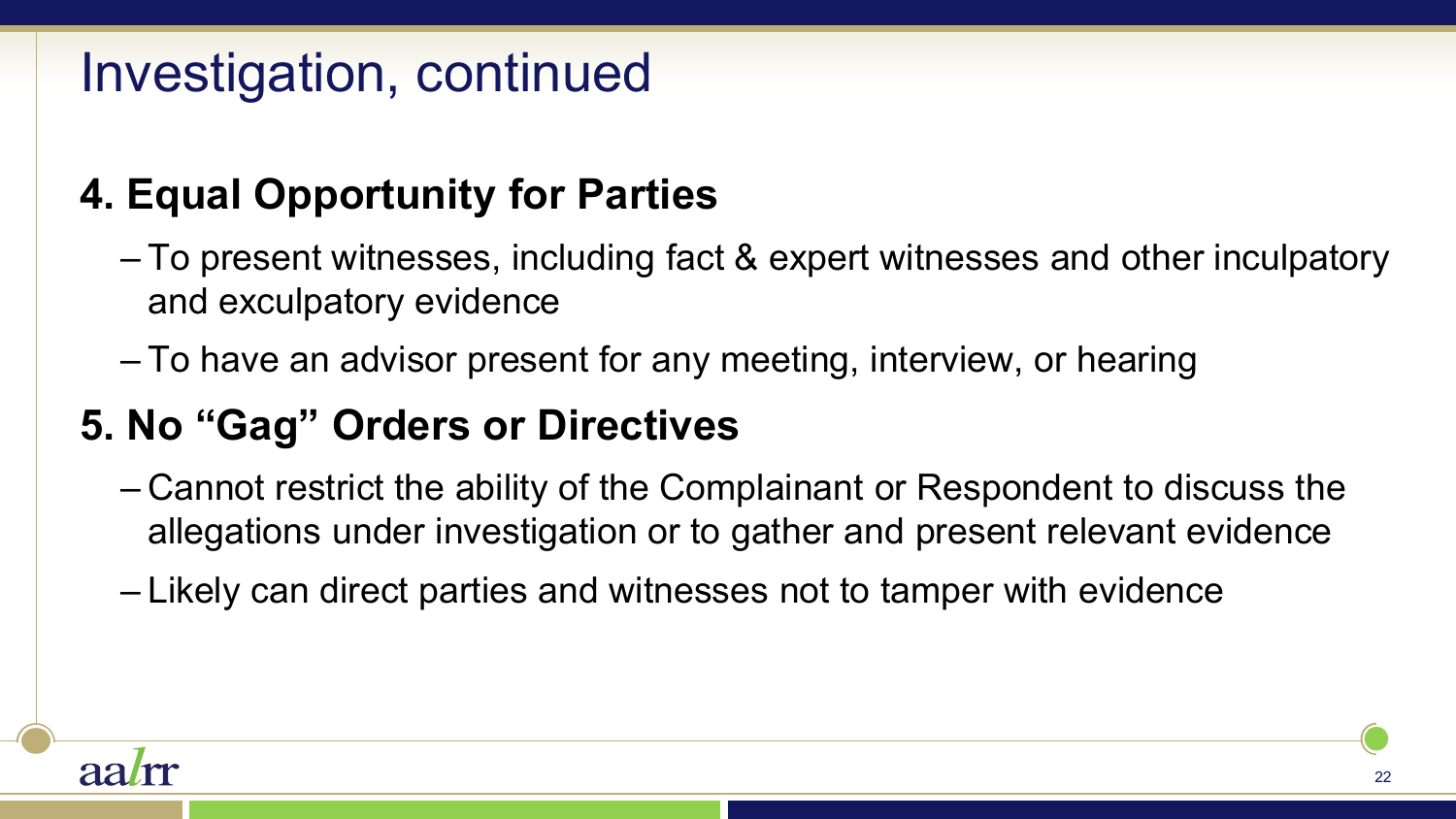### **4. Equal Opportunity for Parties**

- To present witnesses, including fact & expert witnesses and other inculpatory and exculpatory evidence
- To have an advisor present for any meeting, interview, or hearing

### **5. No "Gag" Orders or Directives**

- Cannot restrict the ability of the Complainant or Respondent to discuss the allegations under investigation or to gather and present relevant evidence
- Likely can direct parties and witnesses not to tamper with evidence

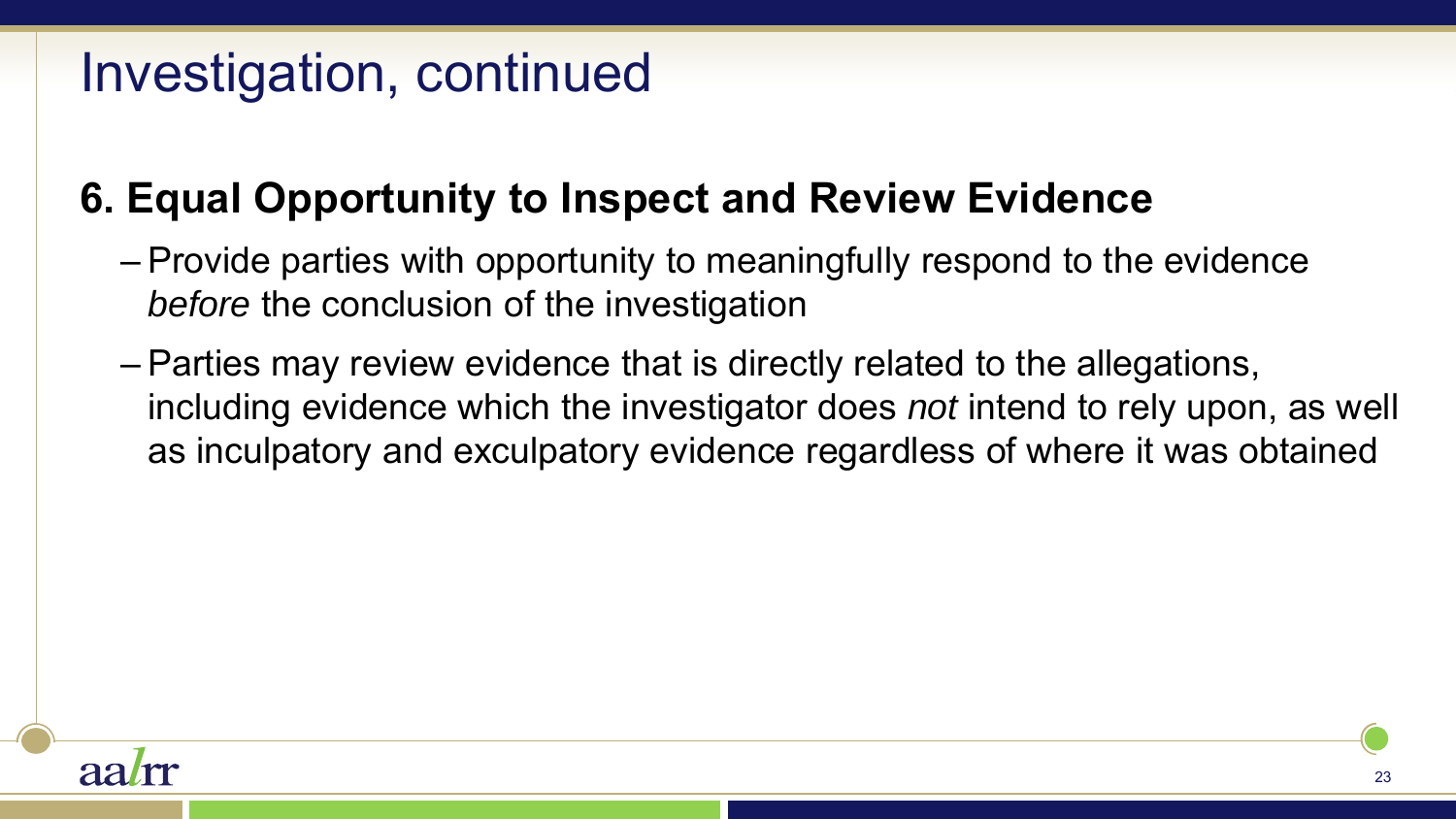### **6. Equal Opportunity to Inspect and Review Evidence**

- Provide parties with opportunity to meaningfully respond to the evidence *before* the conclusion of the investigation
- Parties may review evidence that is directly related to the allegations, including evidence which the investigator does *not* intend to rely upon, as well as inculpatory and exculpatory evidence regardless of where it was obtained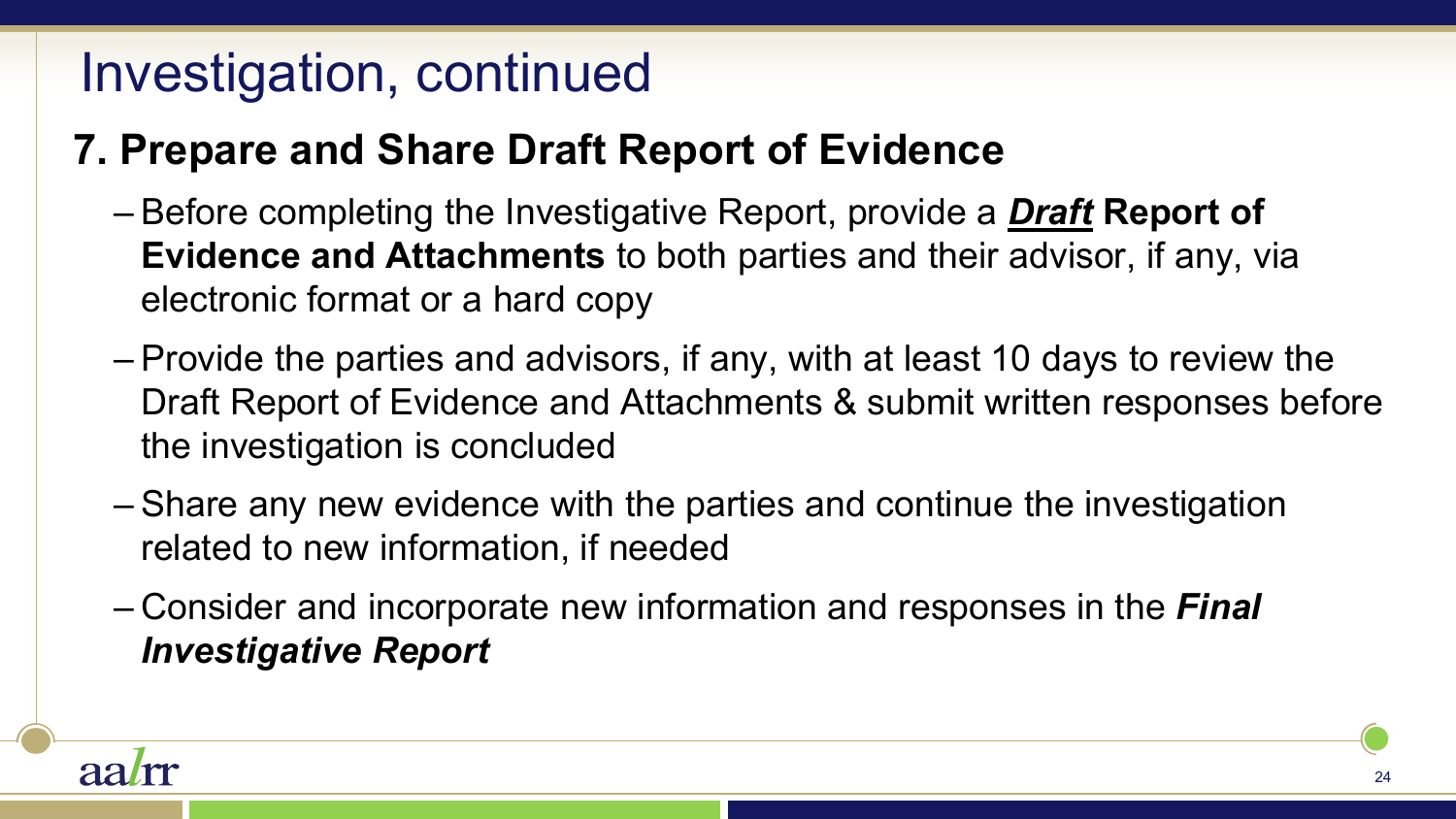### **7. Prepare and Share Draft Report of Evidence**

- Before completing the Investigative Report, provide a *Draft* **Report of Evidence and Attachments** to both parties and their advisor, if any, via electronic format or a hard copy
- Provide the parties and advisors, if any, with at least 10 days to review the Draft Report of Evidence and Attachments & submit written responses before the investigation is concluded
- Share any new evidence with the parties and continue the investigation related to new information, if needed
- Consider and incorporate new information and responses in the *Final Investigative Report*

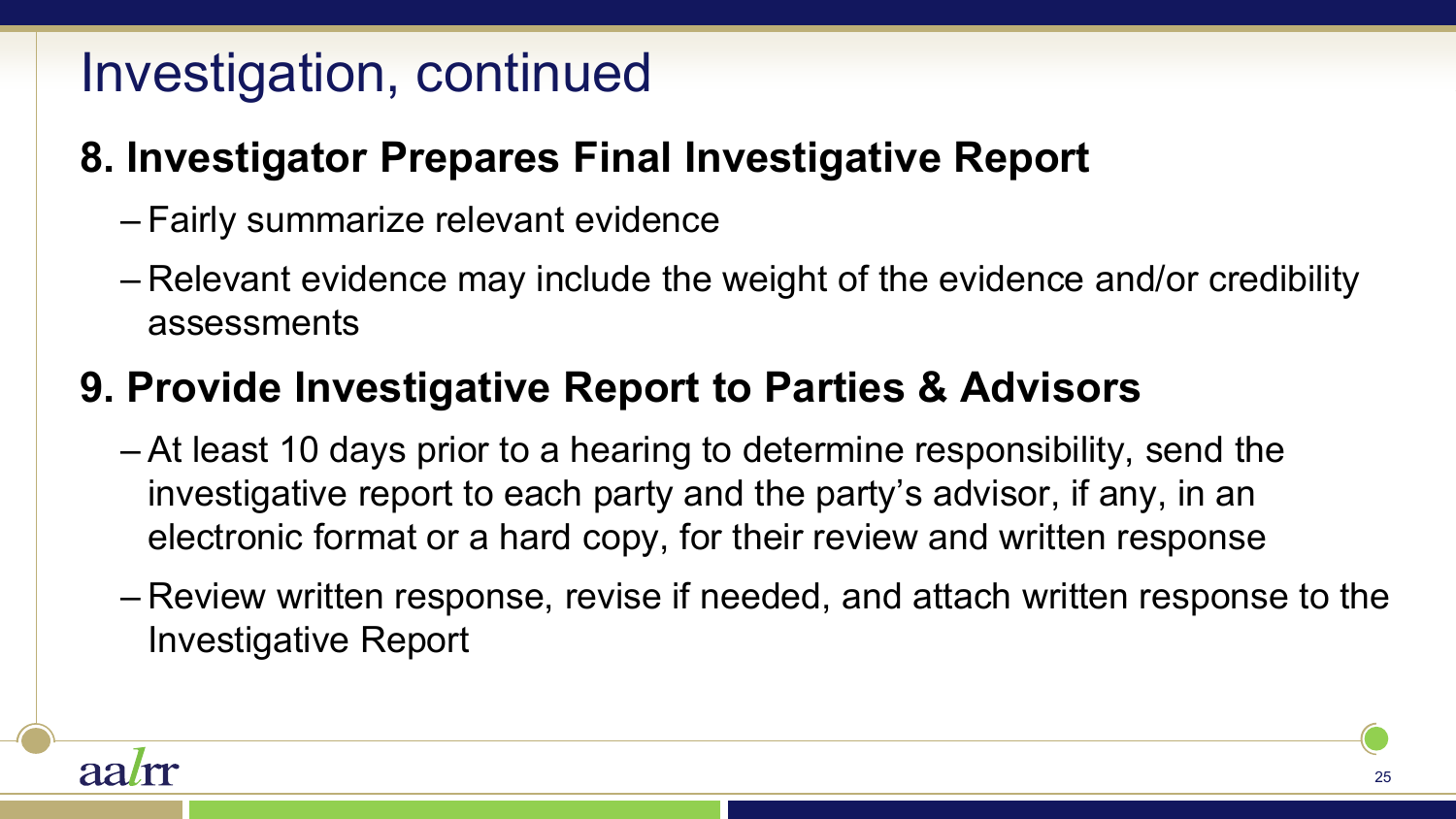### **8. Investigator Prepares Final Investigative Report**

- Fairly summarize relevant evidence
- Relevant evidence may include the weight of the evidence and/or credibility assessments

### **9. Provide Investigative Report to Parties & Advisors**

- At least 10 days prior to a hearing to determine responsibility, send the investigative report to each party and the party's advisor, if any, in an electronic format or a hard copy, for their review and written response
- Review written response, revise if needed, and attach written response to the Investigative Report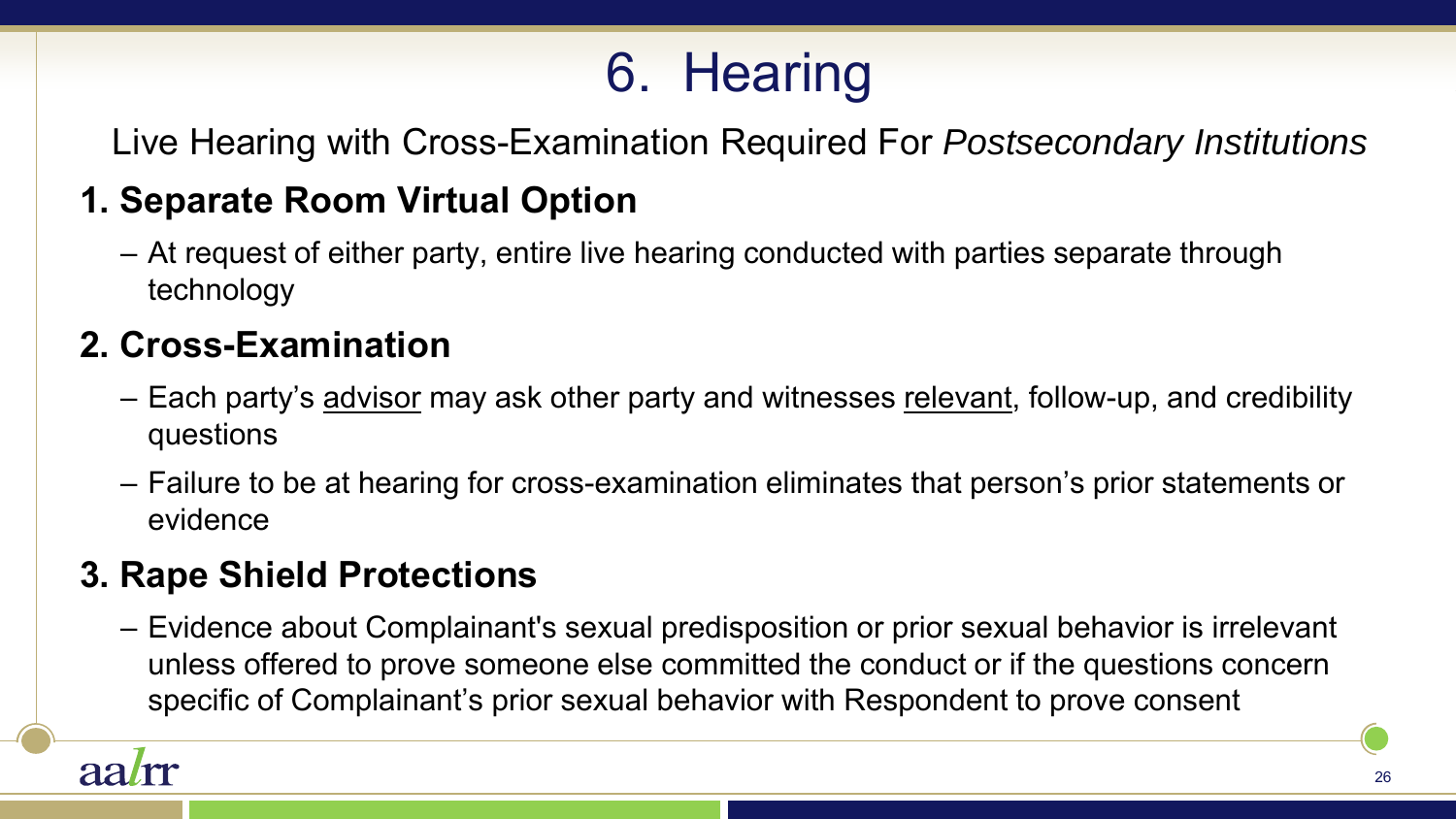# 6. Hearing

Live Hearing with Cross-Examination Required For *Postsecondary Institutions* 

#### **1. Separate Room Virtual Option**

– At request of either party, entire live hearing conducted with parties separate through technology

#### **2. Cross-Examination**

- Each party's advisor may ask other party and witnesses relevant, follow-up, and credibility questions
- Failure to be at hearing for cross-examination eliminates that person's prior statements or evidence

#### **3. Rape Shield Protections**

– Evidence about Complainant's sexual predisposition or prior sexual behavior is irrelevant unless offered to prove someone else committed the conduct or if the questions concern specific of Complainant's prior sexual behavior with Respondent to prove consent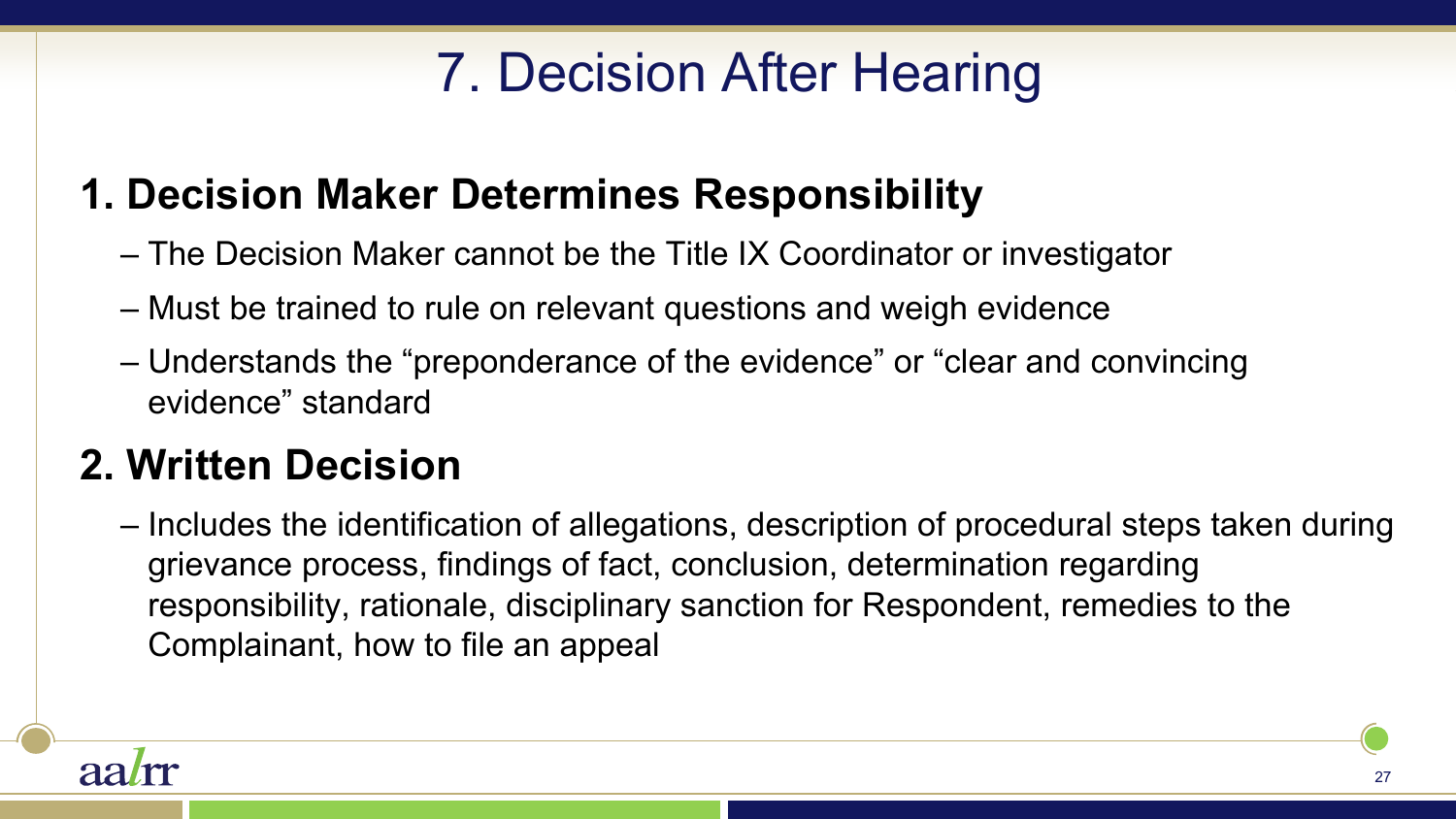# 7. Decision After Hearing

### **1. Decision Maker Determines Responsibility**

- The Decision Maker cannot be the Title IX Coordinator or investigator
- Must be trained to rule on relevant questions and weigh evidence
- Understands the "preponderance of the evidence" or "clear and convincing evidence" standard

### **2. Written Decision**

– Includes the identification of allegations, description of procedural steps taken during grievance process, findings of fact, conclusion, determination regarding responsibility, rationale, disciplinary sanction for Respondent, remedies to the Complainant, how to file an appeal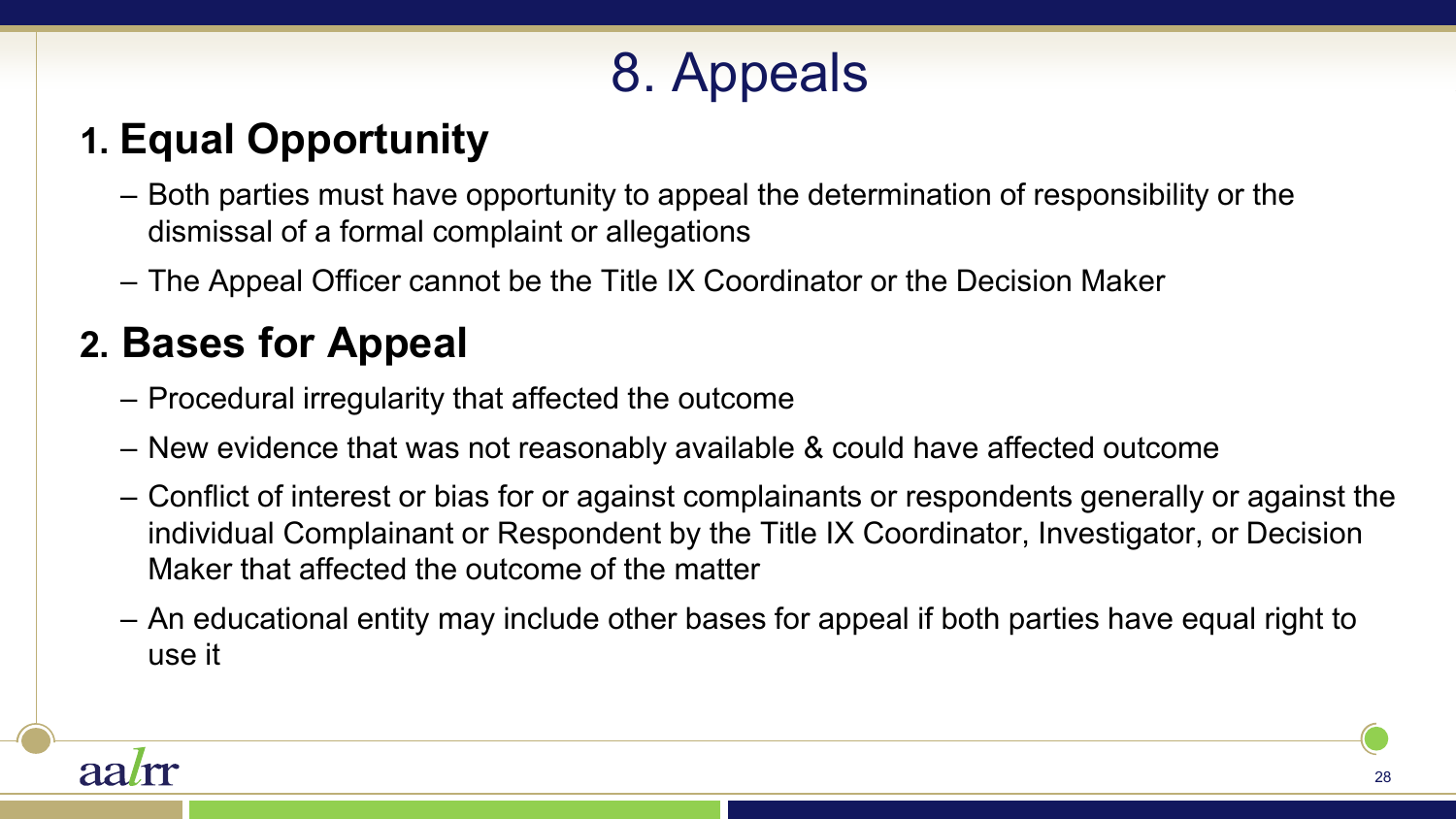# 8. Appeals

### **1. Equal Opportunity**

- Both parties must have opportunity to appeal the determination of responsibility or the dismissal of a formal complaint or allegations
- The Appeal Officer cannot be the Title IX Coordinator or the Decision Maker

### **2. Bases for Appeal**

- Procedural irregularity that affected the outcome
- New evidence that was not reasonably available & could have affected outcome
- Conflict of interest or bias for or against complainants or respondents generally or against the individual Complainant or Respondent by the Title IX Coordinator, Investigator, or Decision Maker that affected the outcome of the matter
- An educational entity may include other bases for appeal if both parties have equal right to use it

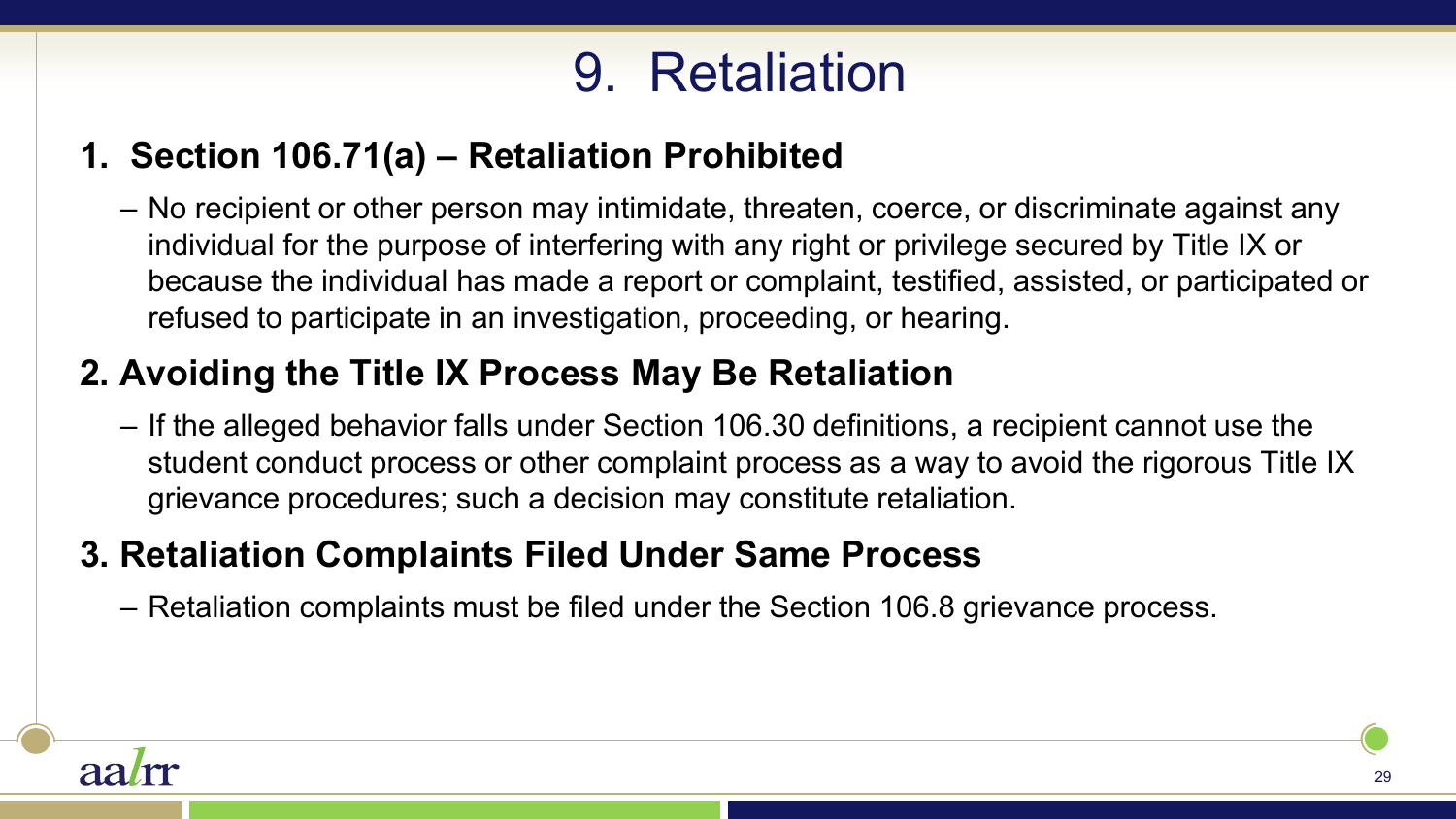# 9. Retaliation

#### **1. Section 106.71(a) – Retaliation Prohibited**

– No recipient or other person may intimidate, threaten, coerce, or discriminate against any individual for the purpose of interfering with any right or privilege secured by Title IX or because the individual has made a report or complaint, testified, assisted, or participated or refused to participate in an investigation, proceeding, or hearing.

#### **2. Avoiding the Title IX Process May Be Retaliation**

– If the alleged behavior falls under Section 106.30 definitions, a recipient cannot use the student conduct process or other complaint process as a way to avoid the rigorous Title IX grievance procedures; such a decision may constitute retaliation.

#### **3. Retaliation Complaints Filed Under Same Process**

– Retaliation complaints must be filed under the Section 106.8 grievance process.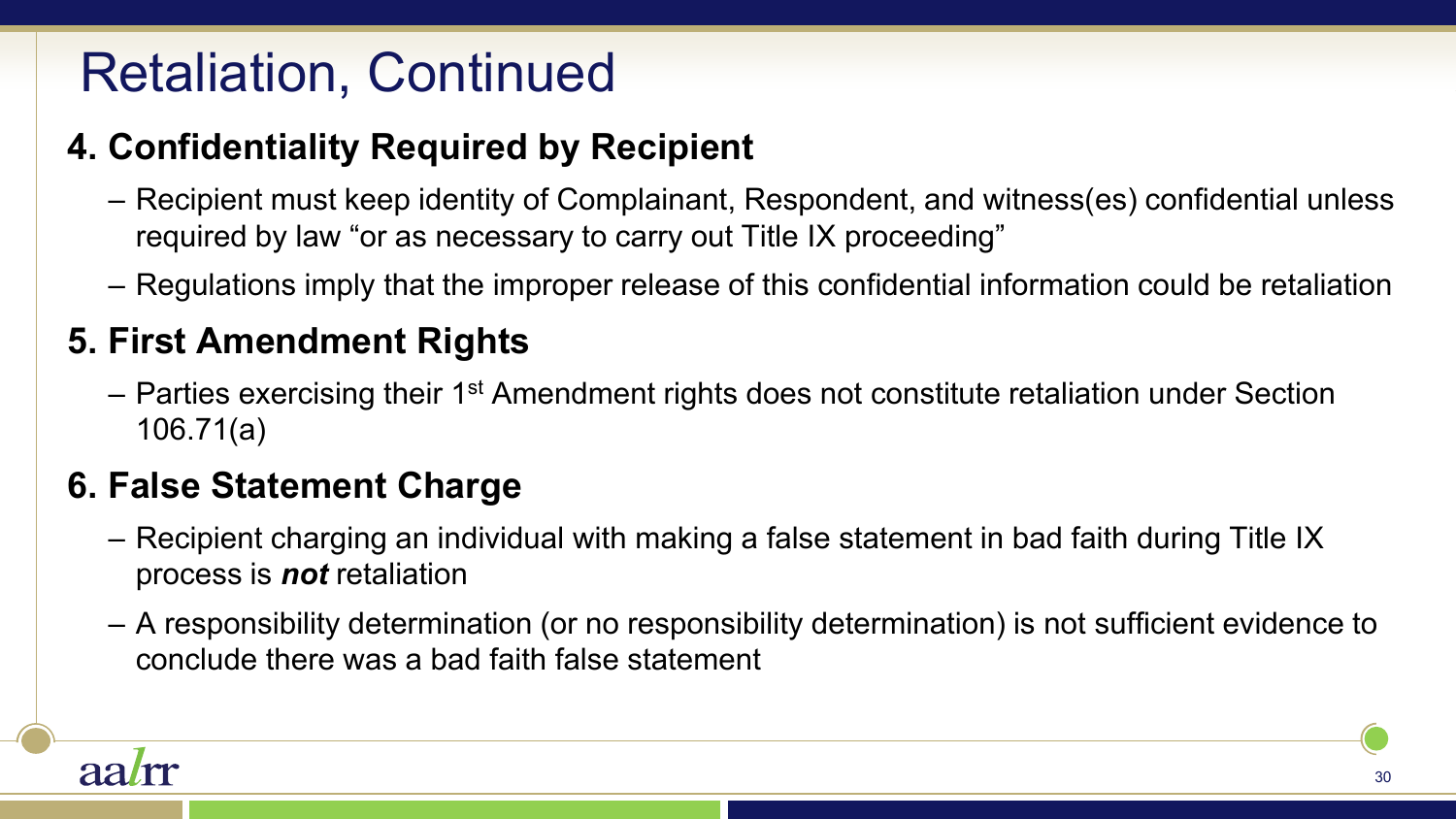# Retaliation, Continued

#### **4. Confidentiality Required by Recipient**

- Recipient must keep identity of Complainant, Respondent, and witness(es) confidential unless required by law "or as necessary to carry out Title IX proceeding"
- Regulations imply that the improper release of this confidential information could be retaliation

#### **5. First Amendment Rights**

– Parties exercising their 1<sup>st</sup> Amendment rights does not constitute retaliation under Section 106.71(a)

#### **6. False Statement Charge**

- Recipient charging an individual with making a false statement in bad faith during Title IX process is *not* retaliation
- A responsibility determination (or no responsibility determination) is not sufficient evidence to conclude there was a bad faith false statement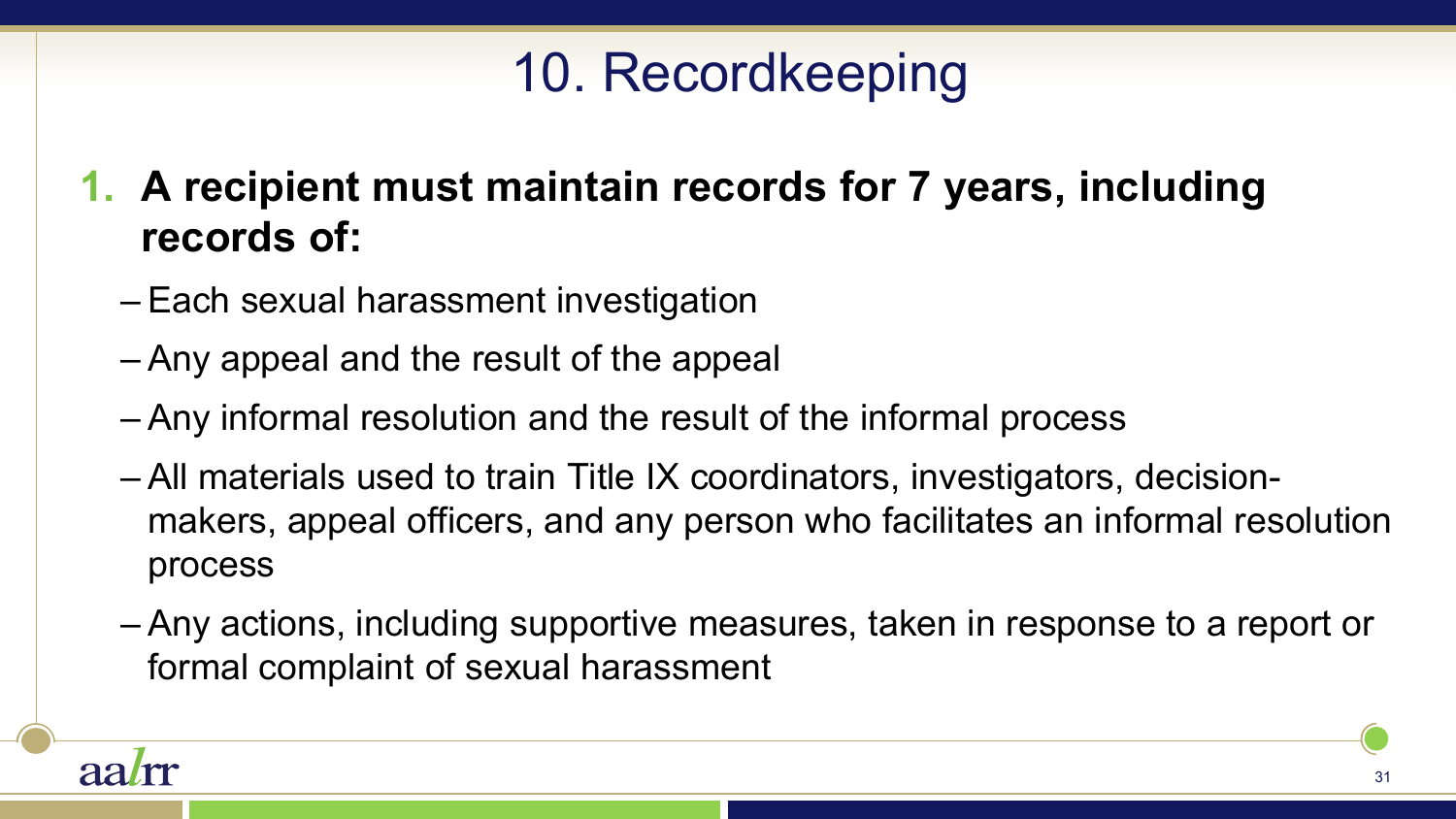# 10. Recordkeeping

**1. A recipient must maintain records for 7 years, including records of:** 

- Each sexual harassment investigation
- Any appeal and the result of the appeal
- Any informal resolution and the result of the informal process
- All materials used to train Title IX coordinators, investigators, decisionmakers, appeal officers, and any person who facilitates an informal resolution process
- Any actions, including supportive measures, taken in response to a report or formal complaint of sexual harassment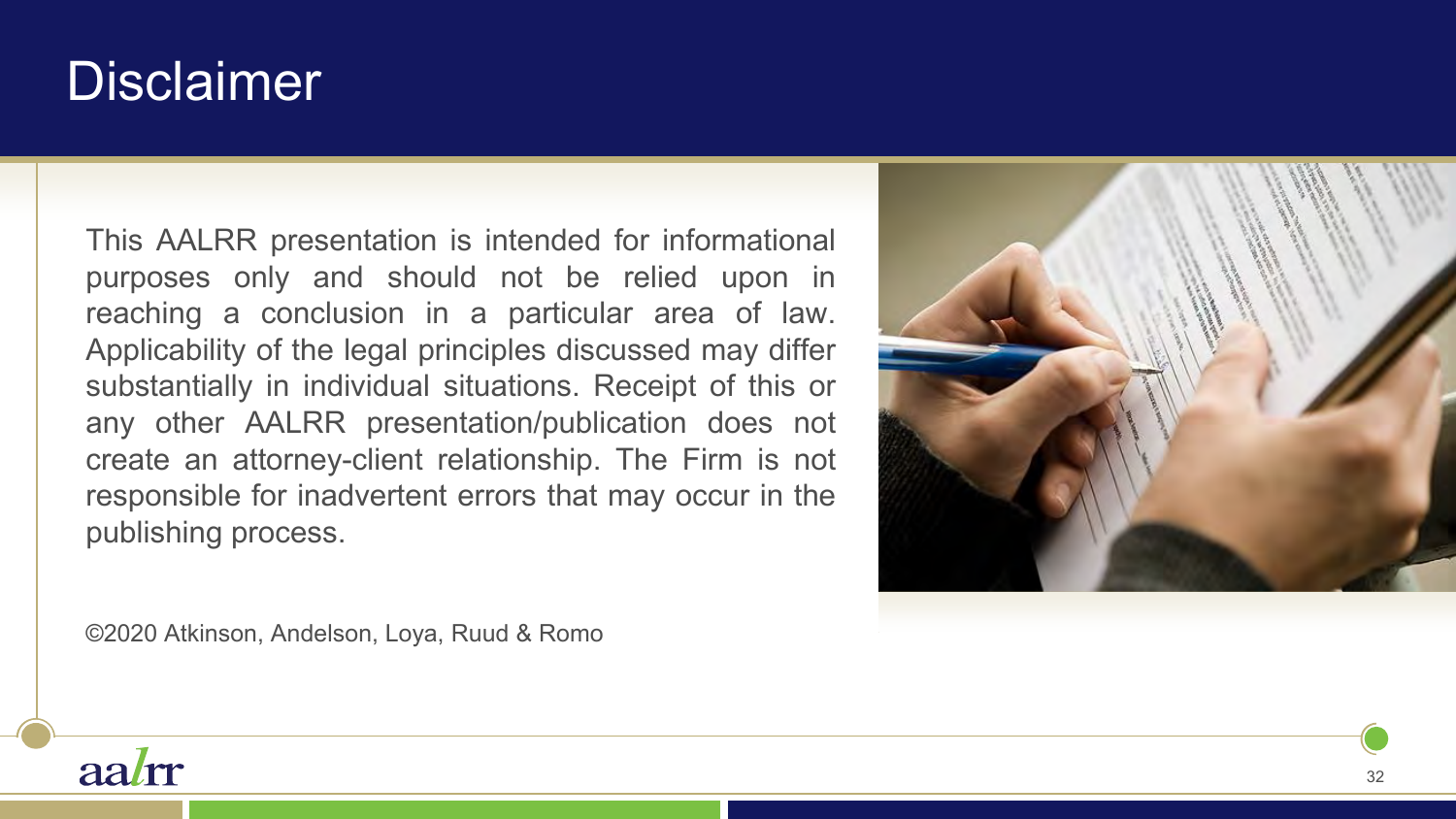# **Disclaimer**

This AALRR presentation is intended for informational purposes only and should not be relied upon in reaching a conclusion in a particular area of law. Applicability of the legal principles discussed may differ substantially in individual situations. Receipt of this or any other AALRR presentation/publication does not create an attorney-client relationship. The Firm is not responsible for inadvertent errors that may occur in the publishing process.



©2020 Atkinson, Andelson, Loya, Ruud & Romo